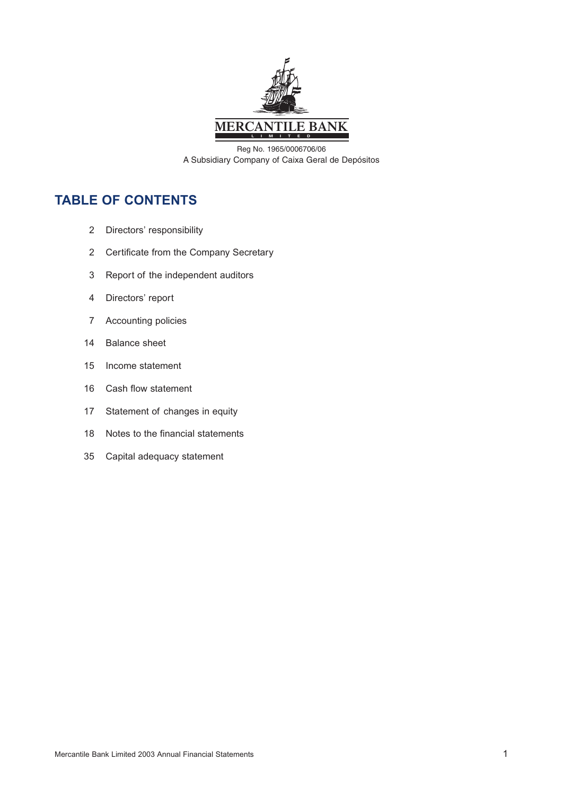

Reg No. 1965/0006706/06 A Subsidiary Company of Caixa Geral de Depósitos

## **TABLE OF CONTENTS**

- 2 Directors' responsibility
- 2 Certificate from the Company Secretary
- 3 Report of the independent auditors
- 4 Directors' report
- 7 Accounting policies
- 14 Balance sheet
- 15 Income statement
- 16 Cash flow statement
- 17 Statement of changes in equity
- 18 Notes to the financial statements
- 35 Capital adequacy statement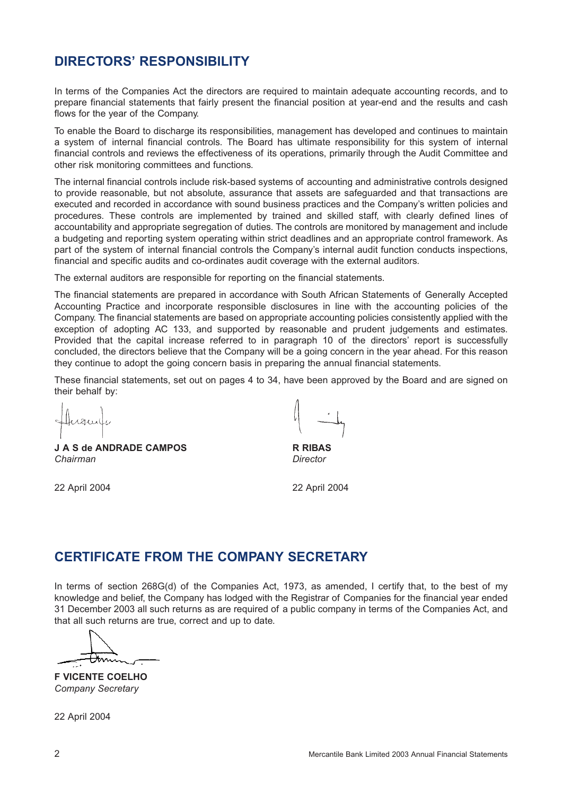## **DIRECTORS' RESPONSIBILITY**

In terms of the Companies Act the directors are required to maintain adequate accounting records, and to prepare financial statements that fairly present the financial position at year-end and the results and cash flows for the year of the Company.

To enable the Board to discharge its responsibilities, management has developed and continues to maintain a system of internal financial controls. The Board has ultimate responsibility for this system of internal financial controls and reviews the effectiveness of its operations, primarily through the Audit Committee and other risk monitoring committees and functions.

The internal financial controls include risk-based systems of accounting and administrative controls designed to provide reasonable, but not absolute, assurance that assets are safeguarded and that transactions are executed and recorded in accordance with sound business practices and the Company's written policies and procedures. These controls are implemented by trained and skilled staff, with clearly defined lines of accountability and appropriate segregation of duties. The controls are monitored by management and include a budgeting and reporting system operating within strict deadlines and an appropriate control framework. As part of the system of internal financial controls the Company's internal audit function conducts inspections, financial and specific audits and co-ordinates audit coverage with the external auditors.

The external auditors are responsible for reporting on the financial statements.

The financial statements are prepared in accordance with South African Statements of Generally Accepted Accounting Practice and incorporate responsible disclosures in line with the accounting policies of the Company. The financial statements are based on appropriate accounting policies consistently applied with the exception of adopting AC 133, and supported by reasonable and prudent judgements and estimates. Provided that the capital increase referred to in paragraph 10 of the directors' report is successfully concluded, the directors believe that the Company will be a going concern in the year ahead. For this reason they continue to adopt the going concern basis in preparing the annual financial statements.

These financial statements, set out on pages 4 to 34, have been approved by the Board and are signed on their behalf by:

Husuly

**J A S de ANDRADE CAMPOS R RIBAS** *Chairman Director*

22 April 2004 22 April 2004

## **CERTIFICATE FROM THE COMPANY SECRETARY**

In terms of section 268G(d) of the Companies Act, 1973, as amended, I certify that, to the best of my knowledge and belief, the Company has lodged with the Registrar of Companies for the financial year ended 31 December 2003 all such returns as are required of a public company in terms of the Companies Act, and that all such returns are true, correct and up to date.

**F VICENTE COELHO** *Company Secretary*

22 April 2004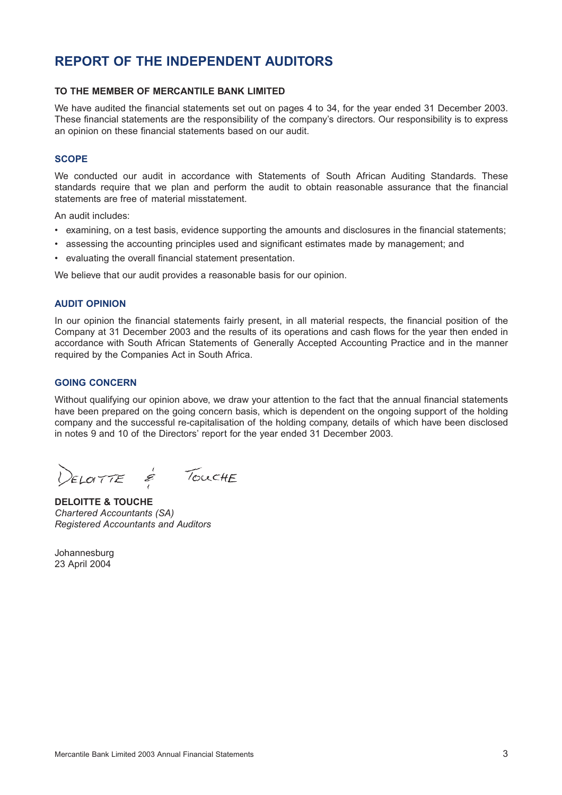## **REPORT OF THE INDEPENDENT AUDITORS**

### **TO THE MEMBER OF MERCANTILE BANK LIMITED**

We have audited the financial statements set out on pages 4 to 34, for the year ended 31 December 2003. These financial statements are the responsibility of the company's directors. Our responsibility is to express an opinion on these financial statements based on our audit.

### **SCOPE**

We conducted our audit in accordance with Statements of South African Auditing Standards. These standards require that we plan and perform the audit to obtain reasonable assurance that the financial statements are free of material misstatement.

An audit includes:

- examining, on a test basis, evidence supporting the amounts and disclosures in the financial statements;
- assessing the accounting principles used and significant estimates made by management; and
- evaluating the overall financial statement presentation.

We believe that our audit provides a reasonable basis for our opinion.

#### **AUDIT OPINION**

In our opinion the financial statements fairly present, in all material respects, the financial position of the Company at 31 December 2003 and the results of its operations and cash flows for the year then ended in accordance with South African Statements of Generally Accepted Accounting Practice and in the manner required by the Companies Act in South Africa.

#### **GOING CONCERN**

Without qualifying our opinion above, we draw your attention to the fact that the annual financial statements have been prepared on the going concern basis, which is dependent on the ongoing support of the holding company and the successful re-capitalisation of the holding company, details of which have been disclosed in notes 9 and 10 of the Directors' report for the year ended 31 December 2003.

ELOITE É TOUCHE

**DELOITTE & TOUCHE** *Chartered Accountants (SA) Registered Accountants and Auditors*

Johannesburg 23 April 2004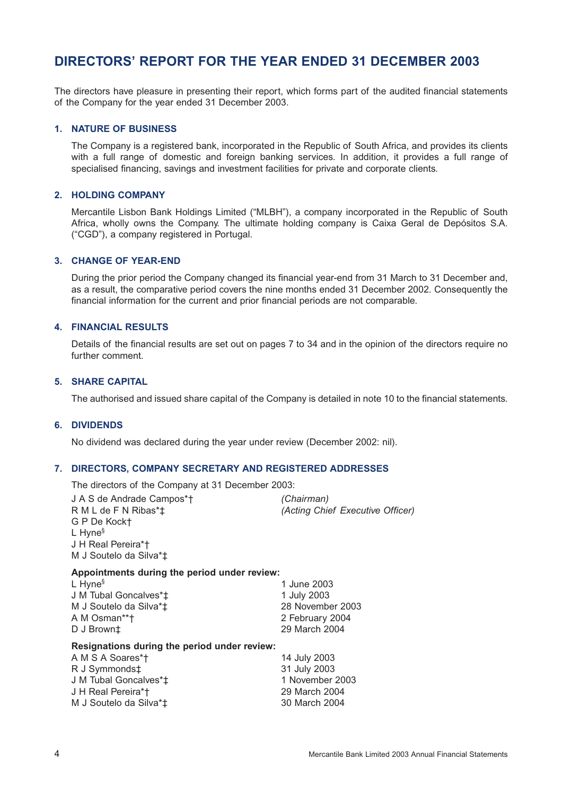## **DIRECTORS' REPORT FOR THE YEAR ENDED 31 DECEMBER 2003**

The directors have pleasure in presenting their report, which forms part of the audited financial statements of the Company for the year ended 31 December 2003.

#### **1. NATURE OF BUSINESS**

The Company is a registered bank, incorporated in the Republic of South Africa, and provides its clients with a full range of domestic and foreign banking services. In addition, it provides a full range of specialised financing, savings and investment facilities for private and corporate clients.

### **2. HOLDING COMPANY**

Mercantile Lisbon Bank Holdings Limited ("MLBH"), a company incorporated in the Republic of South Africa, wholly owns the Company. The ultimate holding company is Caixa Geral de Depósitos S.A. ("CGD"), a company registered in Portugal.

#### **3. CHANGE OF YEAR-END**

During the prior period the Company changed its financial year-end from 31 March to 31 December and, as a result, the comparative period covers the nine months ended 31 December 2002. Consequently the financial information for the current and prior financial periods are not comparable.

## **4. FINANCIAL RESULTS**

Details of the financial results are set out on pages 7 to 34 and in the opinion of the directors require no further comment.

## **5. SHARE CAPITAL**

The authorised and issued share capital of the Company is detailed in note 10 to the financial statements.

## **6. DIVIDENDS**

No dividend was declared during the year under review (December 2002: nil).

#### **7. DIRECTORS, COMPANY SECRETARY AND REGISTERED ADDRESSES**

The directors of the Company at 31 December 2003:

| J A S de Andrade Campos*†<br>R M L de F N Ribas*‡<br>G P De Kock†<br>$L$ Hyne <sup>§</sup><br>J H Real Pereira*†<br>M J Soutelo da Silva*‡ | (Chairman)<br>(Acting Chief Executive Officer) |
|--------------------------------------------------------------------------------------------------------------------------------------------|------------------------------------------------|
| Appointments during the period under review:                                                                                               |                                                |
| $L$ Hyne <sup>§</sup>                                                                                                                      | 1 June 2003                                    |
| J M Tubal Goncalves*‡                                                                                                                      | 1 July 2003                                    |
| M J Soutelo da Silva*‡                                                                                                                     | 28 November 2003                               |
| A M Osman**†                                                                                                                               | 2 February 2004                                |
| D J Brown‡                                                                                                                                 | 29 March 2004                                  |
| Resignations during the period under review:                                                                                               |                                                |
| A M S A Soares*†                                                                                                                           | 14 July 2003                                   |
| R J Symmonds‡                                                                                                                              | 31 July 2003                                   |
| J M Tubal Goncalves*‡                                                                                                                      | 1 November 2003                                |
| J H Real Pereira*†                                                                                                                         | 29 March 2004                                  |
| M J Soutelo da Silva*‡                                                                                                                     | 30 March 2004                                  |
|                                                                                                                                            |                                                |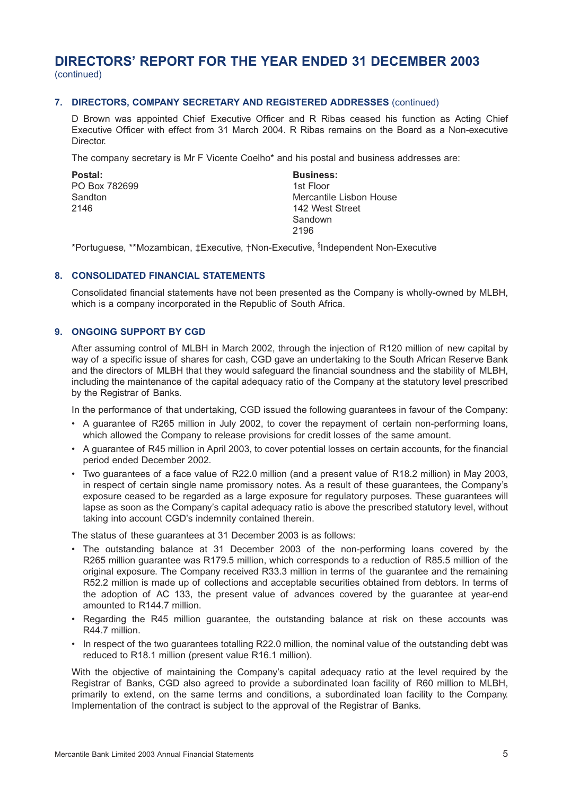## **DIRECTORS' REPORT FOR THE YEAR ENDED 31 DECEMBER 2003** (continued)

### **7. DIRECTORS, COMPANY SECRETARY AND REGISTERED ADDRESSES** (continued)

D Brown was appointed Chief Executive Officer and R Ribas ceased his function as Acting Chief Executive Officer with effect from 31 March 2004. R Ribas remains on the Board as a Non-executive Director.

The company secretary is Mr F Vicente Coelho\* and his postal and business addresses are:

Postal: **Business: Business:** PO Box 782699 1st Floor

Sandton **Mercantile Lisbon House** 2146 2146 Sandown 2196

\*Portuguese, \*\*Mozambican, ‡Executive, †Non-Executive, <sup>§</sup>Independent Non-Executive

### **8. CONSOLIDATED FINANCIAL STATEMENTS**

Consolidated financial statements have not been presented as the Company is wholly-owned by MLBH, which is a company incorporated in the Republic of South Africa.

### **9. ONGOING SUPPORT BY CGD**

After assuming control of MLBH in March 2002, through the injection of R120 million of new capital by way of a specific issue of shares for cash, CGD gave an undertaking to the South African Reserve Bank and the directors of MLBH that they would safeguard the financial soundness and the stability of MLBH, including the maintenance of the capital adequacy ratio of the Company at the statutory level prescribed by the Registrar of Banks.

In the performance of that undertaking, CGD issued the following guarantees in favour of the Company:

- A guarantee of R265 million in July 2002, to cover the repayment of certain non-performing loans, which allowed the Company to release provisions for credit losses of the same amount.
- A guarantee of R45 million in April 2003, to cover potential losses on certain accounts, for the financial period ended December 2002.
- Two guarantees of a face value of R22.0 million (and a present value of R18.2 million) in May 2003, in respect of certain single name promissory notes. As a result of these guarantees, the Company's exposure ceased to be regarded as a large exposure for regulatory purposes. These guarantees will lapse as soon as the Company's capital adequacy ratio is above the prescribed statutory level, without taking into account CGD's indemnity contained therein.

The status of these guarantees at 31 December 2003 is as follows:

- The outstanding balance at 31 December 2003 of the non-performing loans covered by the R265 million guarantee was R179.5 million, which corresponds to a reduction of R85.5 million of the original exposure. The Company received R33.3 million in terms of the guarantee and the remaining R52.2 million is made up of collections and acceptable securities obtained from debtors. In terms of the adoption of AC 133, the present value of advances covered by the guarantee at year-end amounted to R144.7 million.
- Regarding the R45 million guarantee, the outstanding balance at risk on these accounts was R44.7 million.
- In respect of the two guarantees totalling R22.0 million, the nominal value of the outstanding debt was reduced to R18.1 million (present value R16.1 million).

With the objective of maintaining the Company's capital adequacy ratio at the level required by the Registrar of Banks, CGD also agreed to provide a subordinated loan facility of R60 million to MLBH, primarily to extend, on the same terms and conditions, a subordinated loan facility to the Company. Implementation of the contract is subject to the approval of the Registrar of Banks.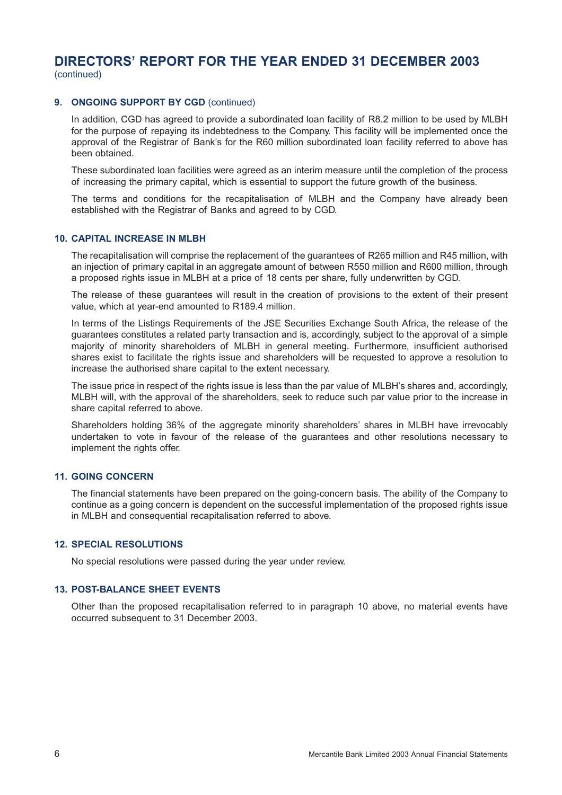# **DIRECTORS' REPORT FOR THE YEAR ENDED 31 DECEMBER 2003**

(continued)

### **9. ONGOING SUPPORT BY CGD** (continued)

In addition, CGD has agreed to provide a subordinated loan facility of R8.2 million to be used by MLBH for the purpose of repaying its indebtedness to the Company. This facility will be implemented once the approval of the Registrar of Bank's for the R60 million subordinated loan facility referred to above has been obtained.

These subordinated loan facilities were agreed as an interim measure until the completion of the process of increasing the primary capital, which is essential to support the future growth of the business.

The terms and conditions for the recapitalisation of MLBH and the Company have already been established with the Registrar of Banks and agreed to by CGD.

#### **10. CAPITAL INCREASE IN MLBH**

The recapitalisation will comprise the replacement of the guarantees of R265 million and R45 million, with an injection of primary capital in an aggregate amount of between R550 million and R600 million, through a proposed rights issue in MLBH at a price of 18 cents per share, fully underwritten by CGD.

The release of these guarantees will result in the creation of provisions to the extent of their present value, which at year-end amounted to R189.4 million.

In terms of the Listings Requirements of the JSE Securities Exchange South Africa, the release of the guarantees constitutes a related party transaction and is, accordingly, subject to the approval of a simple majority of minority shareholders of MLBH in general meeting. Furthermore, insufficient authorised shares exist to facilitate the rights issue and shareholders will be requested to approve a resolution to increase the authorised share capital to the extent necessary.

The issue price in respect of the rights issue is less than the par value of MLBH's shares and, accordingly, MLBH will, with the approval of the shareholders, seek to reduce such par value prior to the increase in share capital referred to above.

Shareholders holding 36% of the aggregate minority shareholders' shares in MLBH have irrevocably undertaken to vote in favour of the release of the guarantees and other resolutions necessary to implement the rights offer.

### **11. GOING CONCERN**

The financial statements have been prepared on the going-concern basis. The ability of the Company to continue as a going concern is dependent on the successful implementation of the proposed rights issue in MLBH and consequential recapitalisation referred to above.

#### **12. SPECIAL RESOLUTIONS**

No special resolutions were passed during the year under review.

#### **13. POST-BALANCE SHEET EVENTS**

Other than the proposed recapitalisation referred to in paragraph 10 above, no material events have occurred subsequent to 31 December 2003.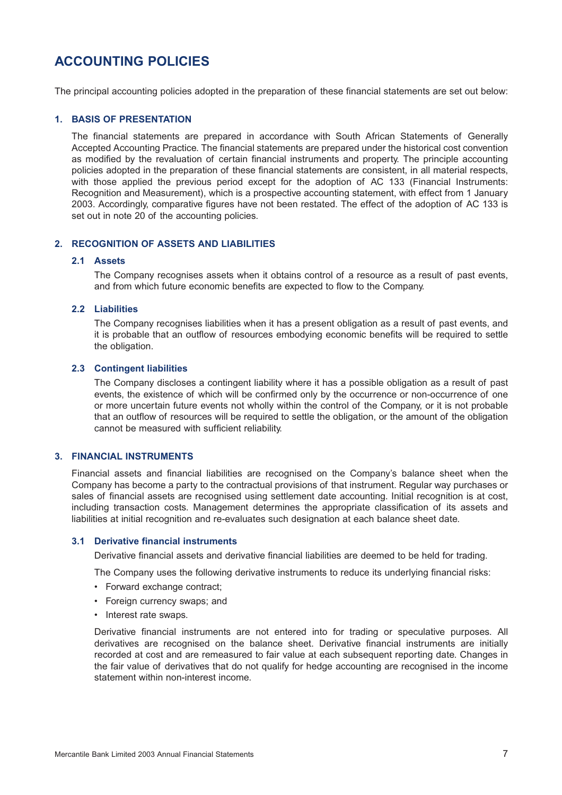## **ACCOUNTING POLICIES**

The principal accounting policies adopted in the preparation of these financial statements are set out below:

### **1. BASIS OF PRESENTATION**

The financial statements are prepared in accordance with South African Statements of Generally Accepted Accounting Practice. The financial statements are prepared under the historical cost convention as modified by the revaluation of certain financial instruments and property. The principle accounting policies adopted in the preparation of these financial statements are consistent, in all material respects, with those applied the previous period except for the adoption of AC 133 (Financial Instruments: Recognition and Measurement), which is a prospective accounting statement, with effect from 1 January 2003. Accordingly, comparative figures have not been restated. The effect of the adoption of AC 133 is set out in note 20 of the accounting policies.

## **2. RECOGNITION OF ASSETS AND LIABILITIES**

#### **2.1 Assets**

The Company recognises assets when it obtains control of a resource as a result of past events, and from which future economic benefits are expected to flow to the Company.

### **2.2 Liabilities**

The Company recognises liabilities when it has a present obligation as a result of past events, and it is probable that an outflow of resources embodying economic benefits will be required to settle the obligation.

### **2.3 Contingent liabilities**

The Company discloses a contingent liability where it has a possible obligation as a result of past events, the existence of which will be confirmed only by the occurrence or non-occurrence of one or more uncertain future events not wholly within the control of the Company, or it is not probable that an outflow of resources will be required to settle the obligation, or the amount of the obligation cannot be measured with sufficient reliability.

### **3. FINANCIAL INSTRUMENTS**

Financial assets and financial liabilities are recognised on the Company's balance sheet when the Company has become a party to the contractual provisions of that instrument. Regular way purchases or sales of financial assets are recognised using settlement date accounting. Initial recognition is at cost, including transaction costs. Management determines the appropriate classification of its assets and liabilities at initial recognition and re-evaluates such designation at each balance sheet date.

## **3.1 Derivative financial instruments**

Derivative financial assets and derivative financial liabilities are deemed to be held for trading.

The Company uses the following derivative instruments to reduce its underlying financial risks:

- Forward exchange contract;
- Foreign currency swaps; and
- Interest rate swaps.

Derivative financial instruments are not entered into for trading or speculative purposes. All derivatives are recognised on the balance sheet. Derivative financial instruments are initially recorded at cost and are remeasured to fair value at each subsequent reporting date. Changes in the fair value of derivatives that do not qualify for hedge accounting are recognised in the income statement within non-interest income.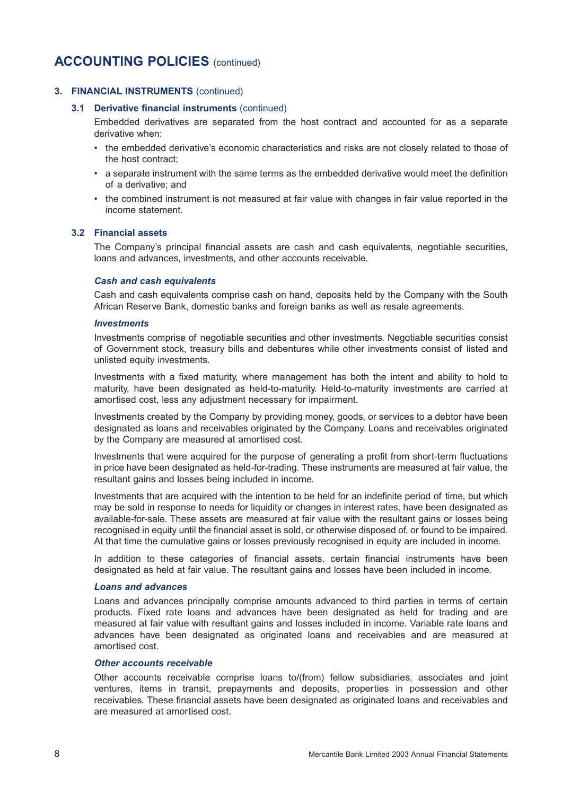## **3. FINANCIAL INSTRUMENTS** (continued)

#### **3.1 Derivative financial instruments** (continued)

Embedded derivatives are separated from the host contract and accounted for as a separate derivative when:

- the embedded derivative's economic characteristics and risks are not closely related to those of the host contract;
- a separate instrument with the same terms as the embedded derivative would meet the definition of a derivative; and
- the combined instrument is not measured at fair value with changes in fair value reported in the income statement.

### **3.2 Financial assets**

The Company's principal financial assets are cash and cash equivalents, negotiable securities, loans and advances, investments, and other accounts receivable.

#### *Cash and cash equivalents*

Cash and cash equivalents comprise cash on hand, deposits held by the Company with the South African Reserve Bank, domestic banks and foreign banks as well as resale agreements.

#### *Investments*

Investments comprise of negotiable securities and other investments. Negotiable securities consist of Government stock, treasury bills and debentures while other investments consist of listed and unlisted equity investments.

Investments with a fixed maturity, where management has both the intent and ability to hold to maturity, have been designated as held-to-maturity. Held-to-maturity investments are carried at amortised cost, less any adjustment necessary for impairment.

Investments created by the Company by providing money, goods, or services to a debtor have been designated as loans and receivables originated by the Company. Loans and receivables originated by the Company are measured at amortised cost.

Investments that were acquired for the purpose of generating a profit from short-term fluctuations in price have been designated as held-for-trading. These instruments are measured at fair value, the resultant gains and losses being included in income.

Investments that are acquired with the intention to be held for an indefinite period of time, but which may be sold in response to needs for liquidity or changes in interest rates, have been designated as available-for-sale. These assets are measured at fair value with the resultant gains or losses being recognised in equity until the financial asset is sold, or otherwise disposed of, or found to be impaired. At that time the cumulative gains or losses previously recognised in equity are included in income.

In addition to these categories of financial assets, certain financial instruments have been designated as held at fair value. The resultant gains and losses have been included in income.

#### *Loans and advances*

Loans and advances principally comprise amounts advanced to third parties in terms of certain products. Fixed rate loans and advances have been designated as held for trading and are measured at fair value with resultant gains and losses included in income. Variable rate loans and advances have been designated as originated loans and receivables and are measured at amortised cost.

#### *Other accounts receivable*

Other accounts receivable comprise loans to/(from) fellow subsidiaries, associates and joint ventures, items in transit, prepayments and deposits, properties in possession and other receivables. These financial assets have been designated as originated loans and receivables and are measured at amortised cost.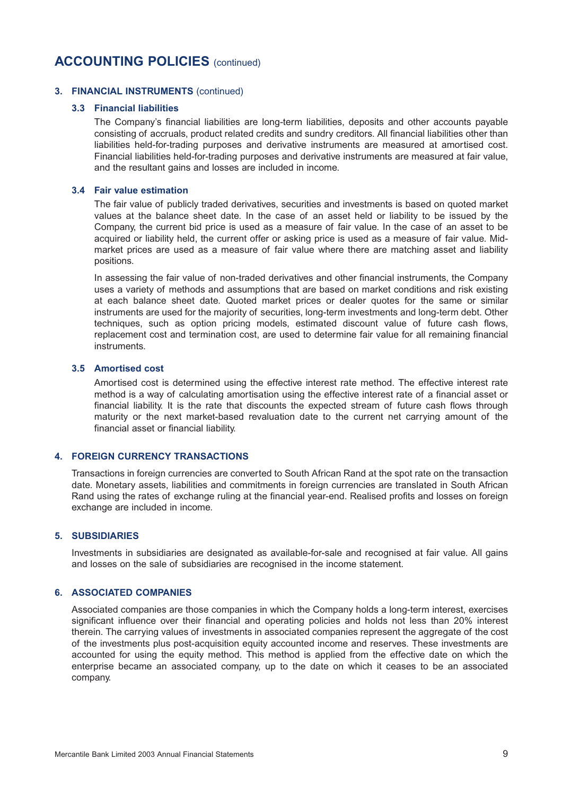### **3. FINANCIAL INSTRUMENTS** (continued)

#### **3.3 Financial liabilities**

The Company's financial liabilities are long-term liabilities, deposits and other accounts payable consisting of accruals, product related credits and sundry creditors. All financial liabilities other than liabilities held-for-trading purposes and derivative instruments are measured at amortised cost. Financial liabilities held-for-trading purposes and derivative instruments are measured at fair value, and the resultant gains and losses are included in income.

#### **3.4 Fair value estimation**

The fair value of publicly traded derivatives, securities and investments is based on quoted market values at the balance sheet date. In the case of an asset held or liability to be issued by the Company, the current bid price is used as a measure of fair value. In the case of an asset to be acquired or liability held, the current offer or asking price is used as a measure of fair value. Midmarket prices are used as a measure of fair value where there are matching asset and liability positions.

In assessing the fair value of non-traded derivatives and other financial instruments, the Company uses a variety of methods and assumptions that are based on market conditions and risk existing at each balance sheet date. Quoted market prices or dealer quotes for the same or similar instruments are used for the majority of securities, long-term investments and long-term debt. Other techniques, such as option pricing models, estimated discount value of future cash flows, replacement cost and termination cost, are used to determine fair value for all remaining financial instruments.

### **3.5 Amortised cost**

Amortised cost is determined using the effective interest rate method. The effective interest rate method is a way of calculating amortisation using the effective interest rate of a financial asset or financial liability. It is the rate that discounts the expected stream of future cash flows through maturity or the next market-based revaluation date to the current net carrying amount of the financial asset or financial liability.

### **4. FOREIGN CURRENCY TRANSACTIONS**

Transactions in foreign currencies are converted to South African Rand at the spot rate on the transaction date. Monetary assets, liabilities and commitments in foreign currencies are translated in South African Rand using the rates of exchange ruling at the financial year-end. Realised profits and losses on foreign exchange are included in income.

### **5. SUBSIDIARIES**

Investments in subsidiaries are designated as available-for-sale and recognised at fair value. All gains and losses on the sale of subsidiaries are recognised in the income statement.

## **6. ASSOCIATED COMPANIES**

Associated companies are those companies in which the Company holds a long-term interest, exercises significant influence over their financial and operating policies and holds not less than 20% interest therein. The carrying values of investments in associated companies represent the aggregate of the cost of the investments plus post-acquisition equity accounted income and reserves. These investments are accounted for using the equity method. This method is applied from the effective date on which the enterprise became an associated company, up to the date on which it ceases to be an associated company.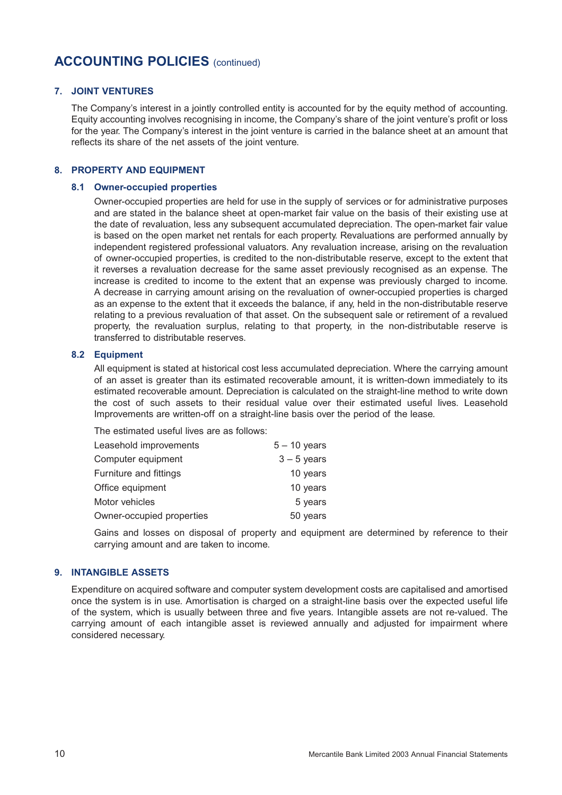### **7. JOINT VENTURES**

The Company's interest in a jointly controlled entity is accounted for by the equity method of accounting. Equity accounting involves recognising in income, the Company's share of the joint venture's profit or loss for the year. The Company's interest in the joint venture is carried in the balance sheet at an amount that reflects its share of the net assets of the joint venture.

## **8. PROPERTY AND EQUIPMENT**

#### **8.1 Owner-occupied properties**

Owner-occupied properties are held for use in the supply of services or for administrative purposes and are stated in the balance sheet at open-market fair value on the basis of their existing use at the date of revaluation, less any subsequent accumulated depreciation. The open-market fair value is based on the open market net rentals for each property. Revaluations are performed annually by independent registered professional valuators. Any revaluation increase, arising on the revaluation of owner-occupied properties, is credited to the non-distributable reserve, except to the extent that it reverses a revaluation decrease for the same asset previously recognised as an expense. The increase is credited to income to the extent that an expense was previously charged to income. A decrease in carrying amount arising on the revaluation of owner-occupied properties is charged as an expense to the extent that it exceeds the balance, if any, held in the non-distributable reserve relating to a previous revaluation of that asset. On the subsequent sale or retirement of a revalued property, the revaluation surplus, relating to that property, in the non-distributable reserve is transferred to distributable reserves.

### **8.2 Equipment**

All equipment is stated at historical cost less accumulated depreciation. Where the carrying amount of an asset is greater than its estimated recoverable amount, it is written-down immediately to its estimated recoverable amount. Depreciation is calculated on the straight-line method to write down the cost of such assets to their residual value over their estimated useful lives. Leasehold Improvements are written-off on a straight-line basis over the period of the lease.

The estimated useful lives are as follows:

| Leasehold improvements    | $5 - 10$ years |
|---------------------------|----------------|
| Computer equipment        | $3 - 5$ years  |
| Furniture and fittings    | 10 years       |
| Office equipment          | 10 years       |
| Motor vehicles            | 5 years        |
| Owner-occupied properties | 50 years       |

Gains and losses on disposal of property and equipment are determined by reference to their carrying amount and are taken to income.

## **9. INTANGIBLE ASSETS**

Expenditure on acquired software and computer system development costs are capitalised and amortised once the system is in use. Amortisation is charged on a straight-line basis over the expected useful life of the system, which is usually between three and five years. Intangible assets are not re-valued. The carrying amount of each intangible asset is reviewed annually and adjusted for impairment where considered necessary.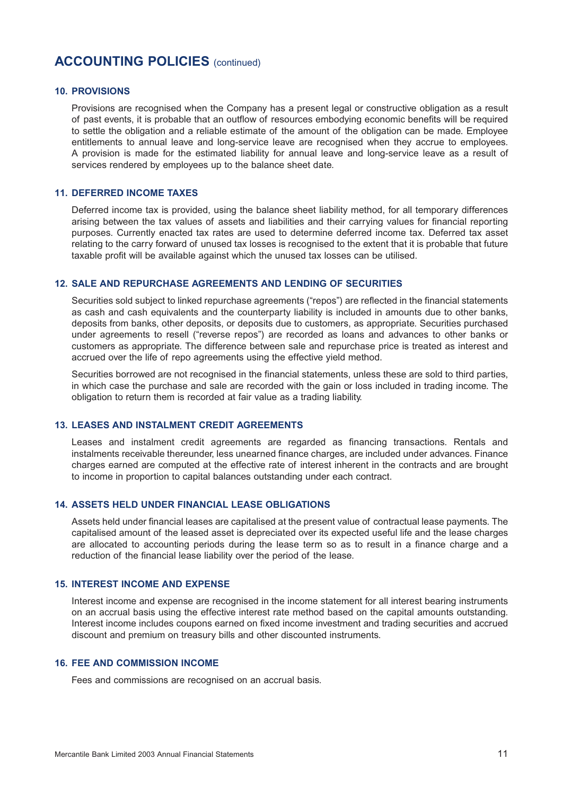### **10. PROVISIONS**

Provisions are recognised when the Company has a present legal or constructive obligation as a result of past events, it is probable that an outflow of resources embodying economic benefits will be required to settle the obligation and a reliable estimate of the amount of the obligation can be made. Employee entitlements to annual leave and long-service leave are recognised when they accrue to employees. A provision is made for the estimated liability for annual leave and long-service leave as a result of services rendered by employees up to the balance sheet date.

## **11. DEFERRED INCOME TAXES**

Deferred income tax is provided, using the balance sheet liability method, for all temporary differences arising between the tax values of assets and liabilities and their carrying values for financial reporting purposes. Currently enacted tax rates are used to determine deferred income tax. Deferred tax asset relating to the carry forward of unused tax losses is recognised to the extent that it is probable that future taxable profit will be available against which the unused tax losses can be utilised.

#### **12. SALE AND REPURCHASE AGREEMENTS AND LENDING OF SECURITIES**

Securities sold subject to linked repurchase agreements ("repos") are reflected in the financial statements as cash and cash equivalents and the counterparty liability is included in amounts due to other banks, deposits from banks, other deposits, or deposits due to customers, as appropriate. Securities purchased under agreements to resell ("reverse repos") are recorded as loans and advances to other banks or customers as appropriate. The difference between sale and repurchase price is treated as interest and accrued over the life of repo agreements using the effective yield method.

Securities borrowed are not recognised in the financial statements, unless these are sold to third parties, in which case the purchase and sale are recorded with the gain or loss included in trading income. The obligation to return them is recorded at fair value as a trading liability.

## **13. LEASES AND INSTALMENT CREDIT AGREEMENTS**

Leases and instalment credit agreements are regarded as financing transactions. Rentals and instalments receivable thereunder, less unearned finance charges, are included under advances. Finance charges earned are computed at the effective rate of interest inherent in the contracts and are brought to income in proportion to capital balances outstanding under each contract.

### **14. ASSETS HELD UNDER FINANCIAL LEASE OBLIGATIONS**

Assets held under financial leases are capitalised at the present value of contractual lease payments. The capitalised amount of the leased asset is depreciated over its expected useful life and the lease charges are allocated to accounting periods during the lease term so as to result in a finance charge and a reduction of the financial lease liability over the period of the lease.

## **15. INTEREST INCOME AND EXPENSE**

Interest income and expense are recognised in the income statement for all interest bearing instruments on an accrual basis using the effective interest rate method based on the capital amounts outstanding. Interest income includes coupons earned on fixed income investment and trading securities and accrued discount and premium on treasury bills and other discounted instruments.

### **16. FEE AND COMMISSION INCOME**

Fees and commissions are recognised on an accrual basis.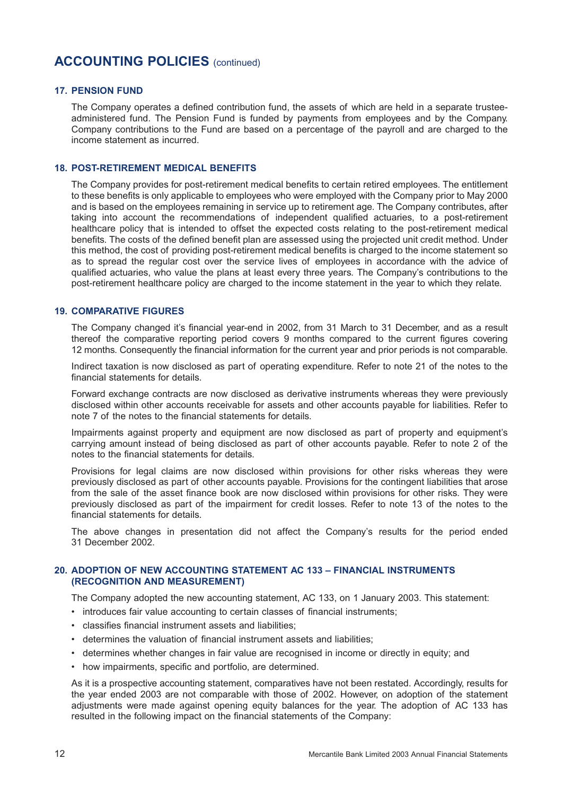### **17. PENSION FUND**

The Company operates a defined contribution fund, the assets of which are held in a separate trusteeadministered fund. The Pension Fund is funded by payments from employees and by the Company. Company contributions to the Fund are based on a percentage of the payroll and are charged to the income statement as incurred.

### **18. POST-RETIREMENT MEDICAL BENEFITS**

The Company provides for post-retirement medical benefits to certain retired employees. The entitlement to these benefits is only applicable to employees who were employed with the Company prior to May 2000 and is based on the employees remaining in service up to retirement age. The Company contributes, after taking into account the recommendations of independent qualified actuaries, to a post-retirement healthcare policy that is intended to offset the expected costs relating to the post-retirement medical benefits. The costs of the defined benefit plan are assessed using the projected unit credit method. Under this method, the cost of providing post-retirement medical benefits is charged to the income statement so as to spread the regular cost over the service lives of employees in accordance with the advice of qualified actuaries, who value the plans at least every three years. The Company's contributions to the post-retirement healthcare policy are charged to the income statement in the year to which they relate.

### **19. COMPARATIVE FIGURES**

The Company changed it's financial year-end in 2002, from 31 March to 31 December, and as a result thereof the comparative reporting period covers 9 months compared to the current figures covering 12 months. Consequently the financial information for the current year and prior periods is not comparable.

Indirect taxation is now disclosed as part of operating expenditure. Refer to note 21 of the notes to the financial statements for details.

Forward exchange contracts are now disclosed as derivative instruments whereas they were previously disclosed within other accounts receivable for assets and other accounts payable for liabilities. Refer to note 7 of the notes to the financial statements for details.

Impairments against property and equipment are now disclosed as part of property and equipment's carrying amount instead of being disclosed as part of other accounts payable. Refer to note 2 of the notes to the financial statements for details.

Provisions for legal claims are now disclosed within provisions for other risks whereas they were previously disclosed as part of other accounts payable. Provisions for the contingent liabilities that arose from the sale of the asset finance book are now disclosed within provisions for other risks. They were previously disclosed as part of the impairment for credit losses. Refer to note 13 of the notes to the financial statements for details.

The above changes in presentation did not affect the Company's results for the period ended 31 December 2002.

### **20. ADOPTION OF NEW ACCOUNTING STATEMENT AC 133 – FINANCIAL INSTRUMENTS (RECOGNITION AND MEASUREMENT)**

The Company adopted the new accounting statement, AC 133, on 1 January 2003. This statement:

- introduces fair value accounting to certain classes of financial instruments;
- classifies financial instrument assets and liabilities;
- determines the valuation of financial instrument assets and liabilities;
- determines whether changes in fair value are recognised in income or directly in equity; and
- how impairments, specific and portfolio, are determined.

As it is a prospective accounting statement, comparatives have not been restated. Accordingly, results for the year ended 2003 are not comparable with those of 2002. However, on adoption of the statement adjustments were made against opening equity balances for the year. The adoption of AC 133 has resulted in the following impact on the financial statements of the Company: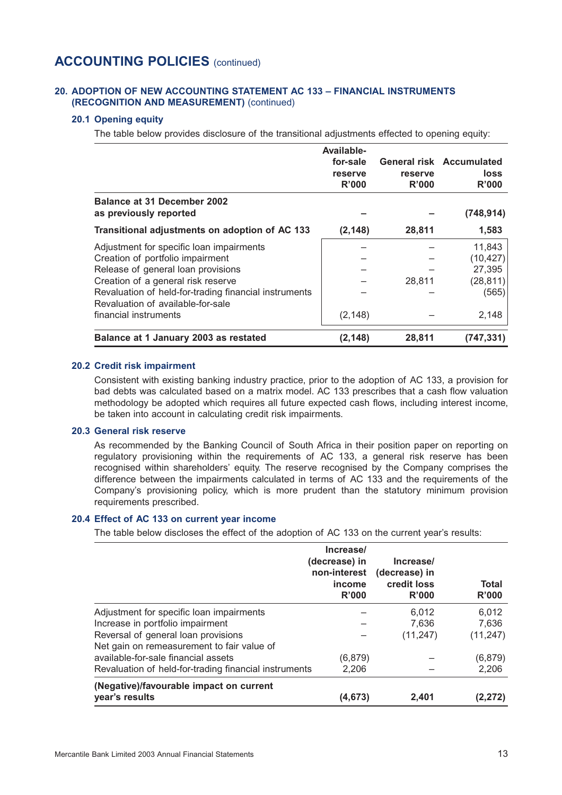### **20. ADOPTION OF NEW ACCOUNTING STATEMENT AC 133 – FINANCIAL INSTRUMENTS (RECOGNITION AND MEASUREMENT)** (continued)

## **20.1 Opening equity**

The table below provides disclosure of the transitional adjustments effected to opening equity:

|                                                                                            | Available-<br>for-sale<br>reserve<br>R'000 | reserve<br>R'000 | <b>General risk Accumulated</b><br>loss<br>R'000 |
|--------------------------------------------------------------------------------------------|--------------------------------------------|------------------|--------------------------------------------------|
| <b>Balance at 31 December 2002</b><br>as previously reported                               |                                            |                  | (748, 914)                                       |
| Transitional adjustments on adoption of AC 133                                             | (2, 148)                                   | 28,811           | 1,583                                            |
| Adjustment for specific loan impairments                                                   |                                            |                  | 11,843                                           |
| Creation of portfolio impairment                                                           |                                            |                  | (10, 427)                                        |
| Release of general loan provisions                                                         |                                            |                  | 27,395                                           |
| Creation of a general risk reserve                                                         |                                            | 28,811           | (28, 811)                                        |
| Revaluation of held-for-trading financial instruments<br>Revaluation of available-for-sale |                                            |                  | (565)                                            |
| financial instruments                                                                      | (2, 148)                                   |                  | 2,148                                            |
| Balance at 1 January 2003 as restated                                                      | (2, 148)                                   | 28,811           | (747,331)                                        |

### **20.2 Credit risk impairment**

Consistent with existing banking industry practice, prior to the adoption of AC 133, a provision for bad debts was calculated based on a matrix model. AC 133 prescribes that a cash flow valuation methodology be adopted which requires all future expected cash flows, including interest income, be taken into account in calculating credit risk impairments.

#### **20.3 General risk reserve**

As recommended by the Banking Council of South Africa in their position paper on reporting on regulatory provisioning within the requirements of AC 133, a general risk reserve has been recognised within shareholders' equity. The reserve recognised by the Company comprises the difference between the impairments calculated in terms of AC 133 and the requirements of the Company's provisioning policy, which is more prudent than the statutory minimum provision requirements prescribed.

#### **20.4 Effect of AC 133 on current year income**

The table below discloses the effect of the adoption of AC 133 on the current year's results:

|                                                       | Increase/<br>(decrease) in<br>non-interest<br>income<br>R'000 | Increase/<br>(decrease) in<br>credit loss<br>R'000 | <b>Total</b><br>R'000 |
|-------------------------------------------------------|---------------------------------------------------------------|----------------------------------------------------|-----------------------|
| Adjustment for specific loan impairments              |                                                               | 6.012                                              | 6,012                 |
| Increase in portfolio impairment                      |                                                               | 7.636                                              | 7,636                 |
| Reversal of general loan provisions                   |                                                               | (11, 247)                                          | (11, 247)             |
| Net gain on remeasurement to fair value of            |                                                               |                                                    |                       |
| available-for-sale financial assets                   | (6,879)                                                       |                                                    | (6, 879)              |
| Revaluation of held-for-trading financial instruments | 2,206                                                         |                                                    | 2,206                 |
| (Negative)/favourable impact on current               |                                                               |                                                    |                       |
| year's results                                        | (4,673)                                                       | 2,401                                              | (2,272)               |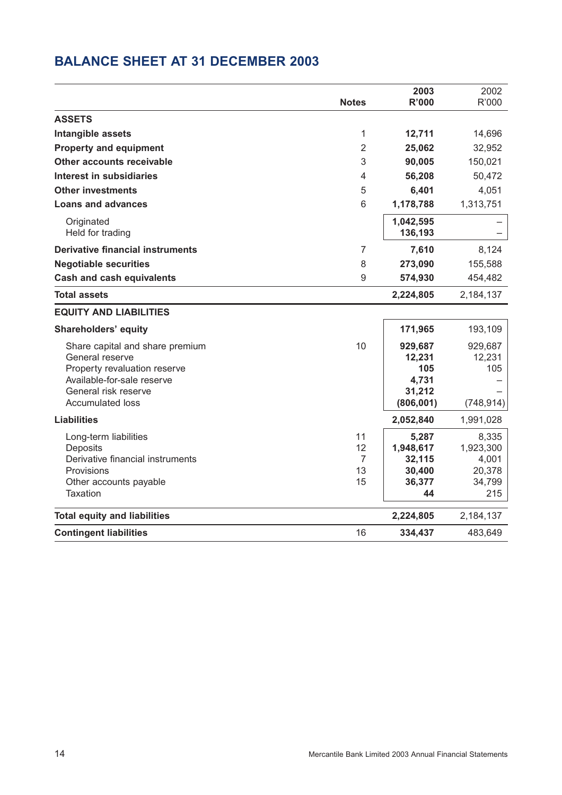## **BALANCE SHEET AT 31 DECEMBER 2003**

|                                                            |                | 2003             | 2002             |
|------------------------------------------------------------|----------------|------------------|------------------|
|                                                            | <b>Notes</b>   | <b>R'000</b>     | R'000            |
| <b>ASSETS</b>                                              |                |                  |                  |
| Intangible assets                                          | 1              | 12,711           | 14,696           |
| <b>Property and equipment</b>                              | $\overline{2}$ | 25,062           | 32,952           |
| Other accounts receivable                                  | 3              | 90,005           | 150,021          |
| Interest in subsidiaries                                   | 4              | 56,208           | 50,472           |
| <b>Other investments</b>                                   | 5              | 6,401            | 4,051            |
| <b>Loans and advances</b>                                  | 6              | 1,178,788        | 1,313,751        |
| Originated                                                 |                | 1,042,595        |                  |
| Held for trading                                           |                | 136,193          |                  |
| <b>Derivative financial instruments</b>                    | 7              | 7,610            | 8,124            |
| <b>Negotiable securities</b>                               | 8              | 273,090          | 155,588          |
| <b>Cash and cash equivalents</b>                           | 9              | 574,930          | 454,482          |
| <b>Total assets</b>                                        |                | 2,224,805        | 2,184,137        |
| <b>EQUITY AND LIABILITIES</b>                              |                |                  |                  |
| <b>Shareholders' equity</b>                                |                | 171,965          | 193,109          |
| Share capital and share premium                            | 10             | 929,687          | 929,687          |
| General reserve                                            |                | 12,231           | 12,231           |
| Property revaluation reserve<br>Available-for-sale reserve |                | 105<br>4,731     | 105              |
| General risk reserve                                       |                | 31,212           |                  |
| <b>Accumulated loss</b>                                    |                | (806, 001)       | (748, 914)       |
| <b>Liabilities</b>                                         |                | 2,052,840        | 1,991,028        |
| Long-term liabilities                                      | 11             | 5,287            | 8,335            |
| Deposits                                                   | 12             | 1,948,617        | 1,923,300        |
| Derivative financial instruments                           | 7              | 32,115           | 4,001            |
| Provisions<br>Other accounts payable                       | 13<br>15       | 30,400<br>36,377 | 20,378<br>34,799 |
| Taxation                                                   |                | 44               | 215              |
|                                                            |                |                  |                  |
| <b>Total equity and liabilities</b>                        |                | 2,224,805        | 2,184,137        |
| <b>Contingent liabilities</b>                              | 16             | 334,437          | 483,649          |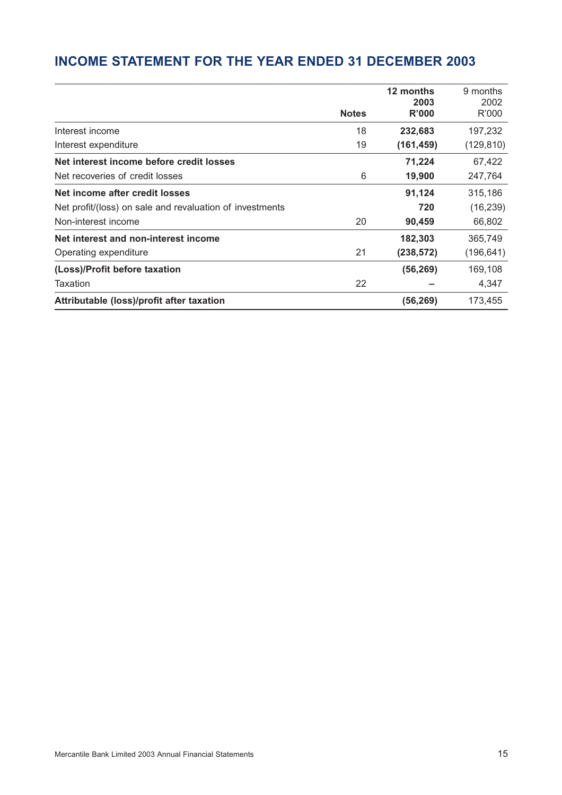## **INCOME STATEMENT FOR THE YEAR ENDED 31 DECEMBER 2003**

|                                                          |              | 12 months  | 9 months   |
|----------------------------------------------------------|--------------|------------|------------|
|                                                          |              | 2003       | 2002       |
|                                                          | <b>Notes</b> | R'000      | R'000      |
| Interest income                                          | 18           | 232,683    | 197,232    |
| Interest expenditure                                     | 19           | (161, 459) | (129, 810) |
| Net interest income before credit losses                 |              | 71,224     | 67,422     |
| Net recoveries of credit losses                          | 6            | 19,900     | 247,764    |
| Net income after credit losses                           |              | 91,124     | 315,186    |
| Net profit/(loss) on sale and revaluation of investments |              | 720        | (16, 239)  |
| Non-interest income                                      | 20           | 90,459     | 66,802     |
| Net interest and non-interest income                     |              | 182,303    | 365,749    |
| Operating expenditure                                    | 21           | (238, 572) | (196, 641) |
| (Loss)/Profit before taxation                            |              | (56, 269)  | 169,108    |
| Taxation                                                 | 22           |            | 4,347      |
| Attributable (loss)/profit after taxation                |              | (56, 269)  | 173,455    |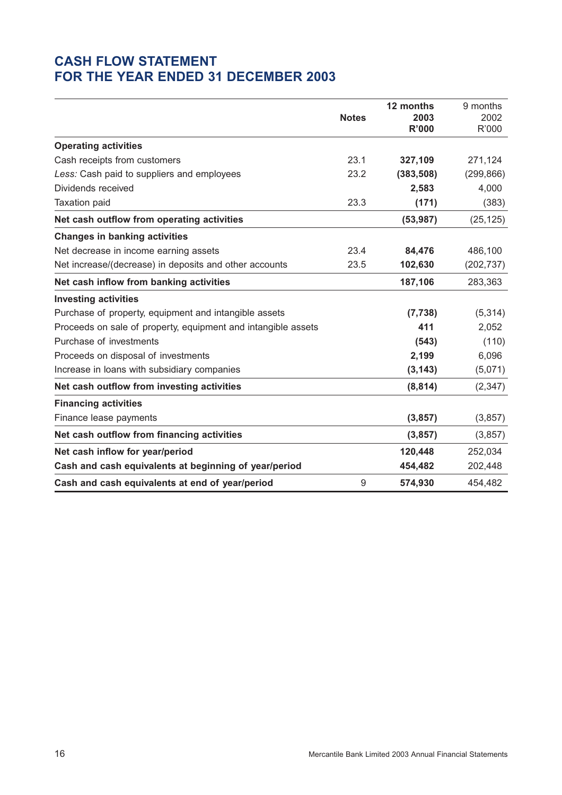## **CASH FLOW STATEMENT FOR THE YEAR ENDED 31 DECEMBER 2003**

|                                                               |                  | 12 months    | 9 months   |
|---------------------------------------------------------------|------------------|--------------|------------|
|                                                               | <b>Notes</b>     | 2003         | 2002       |
|                                                               |                  | <b>R'000</b> | R'000      |
| <b>Operating activities</b>                                   |                  |              |            |
| Cash receipts from customers                                  | 23.1             | 327,109      | 271,124    |
| Less: Cash paid to suppliers and employees                    | 23.2             | (383, 508)   | (299, 866) |
| Dividends received                                            |                  | 2,583        | 4,000      |
| <b>Taxation paid</b>                                          | 23.3             | (171)        | (383)      |
| Net cash outflow from operating activities                    |                  | (53, 987)    | (25, 125)  |
| <b>Changes in banking activities</b>                          |                  |              |            |
| Net decrease in income earning assets                         | 23.4             | 84,476       | 486,100    |
| Net increase/(decrease) in deposits and other accounts        | 23.5             | 102,630      | (202, 737) |
| Net cash inflow from banking activities                       |                  | 187,106      | 283,363    |
| <b>Investing activities</b>                                   |                  |              |            |
| Purchase of property, equipment and intangible assets         |                  | (7, 738)     | (5,314)    |
| Proceeds on sale of property, equipment and intangible assets |                  | 411          | 2,052      |
| Purchase of investments                                       |                  | (543)        | (110)      |
| Proceeds on disposal of investments                           |                  | 2,199        | 6,096      |
| Increase in loans with subsidiary companies                   |                  | (3, 143)     | (5,071)    |
| Net cash outflow from investing activities                    |                  | (8, 814)     | (2, 347)   |
| <b>Financing activities</b>                                   |                  |              |            |
| Finance lease payments                                        |                  | (3, 857)     | (3, 857)   |
| Net cash outflow from financing activities                    |                  | (3, 857)     | (3, 857)   |
| Net cash inflow for year/period                               |                  | 120,448      | 252,034    |
| Cash and cash equivalents at beginning of year/period         |                  | 454,482      | 202,448    |
| Cash and cash equivalents at end of year/period               | $\boldsymbol{9}$ | 574,930      | 454,482    |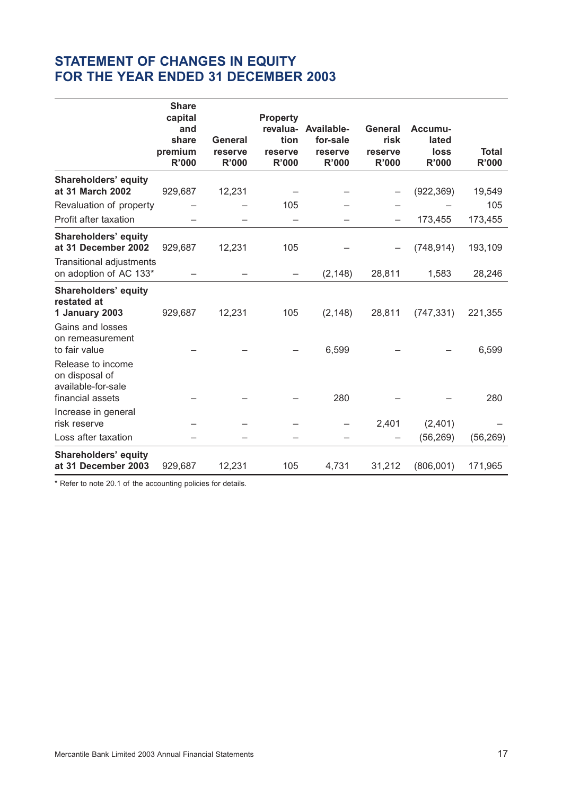## **STATEMENT OF CHANGES IN EQUITY FOR THE YEAR ENDED 31 DECEMBER 2003**

|                                                                               | <b>Share</b><br>capital<br>and<br>share<br>premium<br>R'000 | General<br>reserve<br><b>R'000</b> | <b>Property</b><br>tion<br>reserve<br><b>R'000</b> | revalua- Available-<br>for-sale<br>reserve<br><b>R'000</b> | <b>General</b><br>risk<br>reserve<br>R'000 | Accumu-<br>lated<br>loss<br>R'000 | <b>Total</b><br><b>R'000</b> |
|-------------------------------------------------------------------------------|-------------------------------------------------------------|------------------------------------|----------------------------------------------------|------------------------------------------------------------|--------------------------------------------|-----------------------------------|------------------------------|
| <b>Shareholders' equity</b><br>at 31 March 2002                               |                                                             |                                    |                                                    |                                                            |                                            |                                   |                              |
|                                                                               | 929,687                                                     | 12,231                             | 105                                                |                                                            |                                            | (922, 369)                        | 19,549<br>105                |
| Revaluation of property<br>Profit after taxation                              |                                                             |                                    |                                                    |                                                            |                                            | 173,455                           | 173,455                      |
| Shareholders' equity<br>at 31 December 2002                                   | 929,687                                                     | 12,231                             | 105                                                |                                                            |                                            | (748, 914)                        | 193,109                      |
| Transitional adjustments<br>on adoption of AC 133*                            |                                                             |                                    | $\qquad \qquad -$                                  | (2, 148)                                                   | 28,811                                     | 1,583                             | 28,246                       |
| <b>Shareholders' equity</b><br>restated at<br>1 January 2003                  | 929,687                                                     | 12,231                             | 105                                                | (2, 148)                                                   | 28,811                                     | (747, 331)                        | 221,355                      |
| Gains and losses<br>on remeasurement<br>to fair value                         |                                                             |                                    |                                                    | 6,599                                                      |                                            |                                   | 6,599                        |
| Release to income<br>on disposal of<br>available-for-sale<br>financial assets |                                                             |                                    |                                                    | 280                                                        |                                            |                                   | 280                          |
| Increase in general                                                           |                                                             |                                    |                                                    |                                                            |                                            |                                   |                              |
| risk reserve                                                                  |                                                             |                                    |                                                    |                                                            | 2,401                                      | (2,401)                           |                              |
| Loss after taxation                                                           |                                                             |                                    |                                                    |                                                            |                                            | (56, 269)                         | (56, 269)                    |
| <b>Shareholders' equity</b><br>at 31 December 2003                            | 929,687                                                     | 12,231                             | 105                                                | 4,731                                                      | 31,212                                     | (806, 001)                        | 171,965                      |

\* Refer to note 20.1 of the accounting policies for details.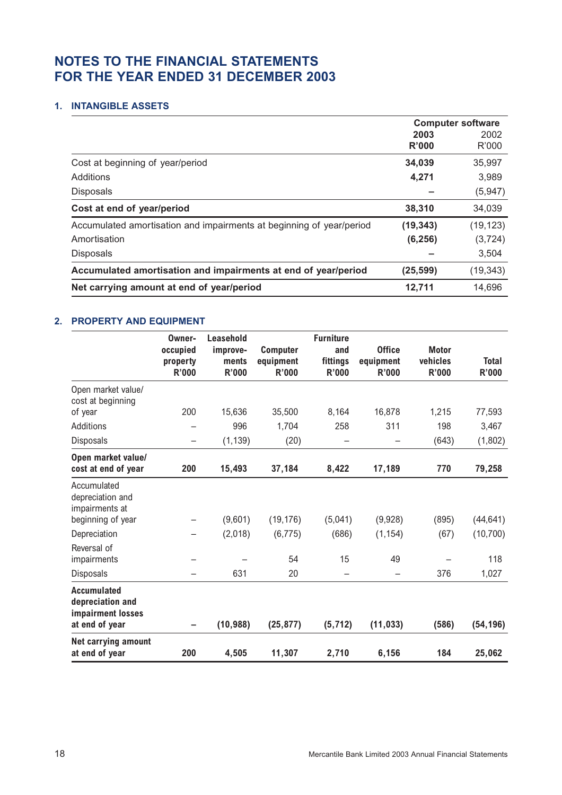## **NOTES TO THE FINANCIAL STATEMENTS FOR THE YEAR ENDED 31 DECEMBER 2003**

## **1. INTANGIBLE ASSETS**

|                                                                      | <b>Computer software</b> |           |  |
|----------------------------------------------------------------------|--------------------------|-----------|--|
|                                                                      | 2003                     | 2002      |  |
|                                                                      | R'000                    | R'000     |  |
| Cost at beginning of year/period                                     | 34,039                   | 35,997    |  |
| Additions                                                            | 4,271                    | 3,989     |  |
| <b>Disposals</b>                                                     |                          | (5,947)   |  |
| Cost at end of year/period                                           | 38,310                   | 34,039    |  |
| Accumulated amortisation and impairments at beginning of year/period | (19, 343)                | (19, 123) |  |
| Amortisation                                                         | (6, 256)                 | (3, 724)  |  |
| <b>Disposals</b>                                                     |                          | 3,504     |  |
| Accumulated amortisation and impairments at end of year/period       | (25, 599)                | (19, 343) |  |
| Net carrying amount at end of year/period                            | 12,711                   | 14,696    |  |

## **2. PROPERTY AND EQUIPMENT**

|                                                                               | Owner-<br>occupied<br>property<br><b>R'000</b> | Leasehold<br>improve-<br>ments<br><b>R'000</b> | <b>Computer</b><br>equipment<br><b>R'000</b> | <b>Furniture</b><br>and<br>fittings<br><b>R'000</b> | <b>Office</b><br>equipment<br><b>R'000</b> | <b>Motor</b><br>vehicles<br><b>R'000</b> | <b>Total</b><br><b>R'000</b> |
|-------------------------------------------------------------------------------|------------------------------------------------|------------------------------------------------|----------------------------------------------|-----------------------------------------------------|--------------------------------------------|------------------------------------------|------------------------------|
| Open market value/<br>cost at beginning                                       |                                                |                                                |                                              |                                                     |                                            |                                          |                              |
| of year                                                                       | 200                                            | 15,636                                         | 35,500                                       | 8,164                                               | 16,878                                     | 1,215                                    | 77,593                       |
| Additions                                                                     |                                                | 996                                            | 1,704                                        | 258                                                 | 311                                        | 198                                      | 3,467                        |
| Disposals                                                                     | $\qquad \qquad -$                              | (1, 139)                                       | (20)                                         | -                                                   |                                            | (643)                                    | (1,802)                      |
| Open market value/<br>cost at end of year                                     | 200                                            | 15,493                                         | 37,184                                       | 8,422                                               | 17,189                                     | 770                                      | 79,258                       |
| Accumulated<br>depreciation and<br>impairments at                             |                                                |                                                |                                              |                                                     |                                            |                                          |                              |
| beginning of year                                                             |                                                | (9,601)                                        | (19, 176)                                    | (5,041)                                             | (9,928)                                    | (895)                                    | (44, 641)                    |
| Depreciation                                                                  |                                                | (2,018)                                        | (6, 775)                                     | (686)                                               | (1, 154)                                   | (67)                                     | (10, 700)                    |
| Reversal of<br>impairments                                                    |                                                |                                                | 54                                           | 15                                                  | 49                                         |                                          | 118                          |
| Disposals                                                                     | —                                              | 631                                            | 20                                           | -                                                   | -                                          | 376                                      | 1,027                        |
| <b>Accumulated</b><br>depreciation and<br>impairment losses<br>at end of year |                                                | (10, 988)                                      | (25, 877)                                    | (5, 712)                                            | (11, 033)                                  | (586)                                    | (54, 196)                    |
| Net carrying amount<br>at end of year                                         | 200                                            | 4,505                                          | 11,307                                       | 2,710                                               | 6,156                                      | 184                                      | 25,062                       |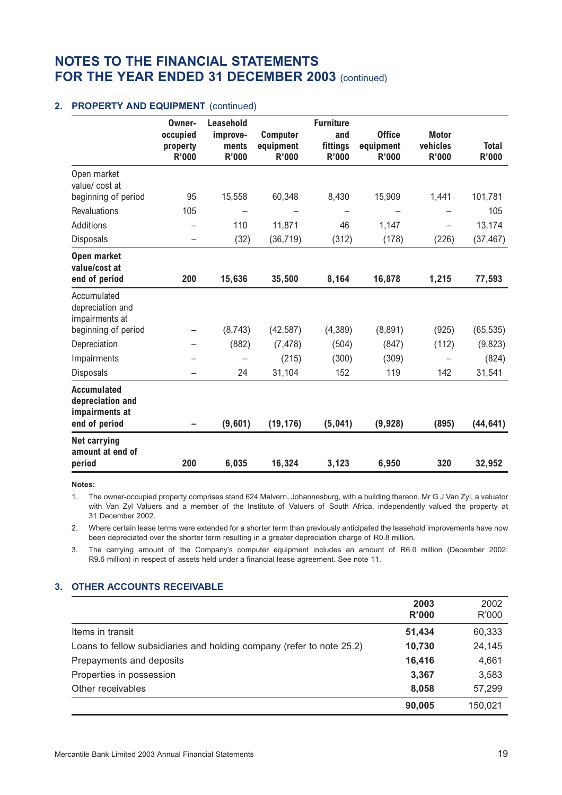## 2. PROPERTY AND EQUIPMENT (continued)

|                                                                           | Owner-<br>occupied<br>property<br><b>R'000</b> | Leasehold<br>improve-<br>ments<br><b>R'000</b> | <b>Computer</b><br>equipment<br><b>R'000</b> | <b>Furniture</b><br>and<br>fittings<br>R'000 | <b>Office</b><br>equipment<br><b>R'000</b> | <b>Motor</b><br>vehicles<br><b>R'000</b> | <b>Total</b><br><b>R'000</b> |
|---------------------------------------------------------------------------|------------------------------------------------|------------------------------------------------|----------------------------------------------|----------------------------------------------|--------------------------------------------|------------------------------------------|------------------------------|
| Open market<br>value/cost at                                              |                                                |                                                |                                              |                                              |                                            |                                          |                              |
| beginning of period                                                       | 95                                             | 15,558                                         | 60,348                                       | 8,430                                        | 15,909                                     | 1,441                                    | 101,781                      |
| <b>Revaluations</b>                                                       | 105                                            |                                                |                                              | -                                            |                                            |                                          | 105                          |
| Additions                                                                 |                                                | 110                                            | 11,871                                       | 46                                           | 1,147                                      |                                          | 13,174                       |
| <b>Disposals</b>                                                          | -                                              | (32)                                           | (36, 719)                                    | (312)                                        | (178)                                      | (226)                                    | (37, 467)                    |
| Open market<br>value/cost at<br>end of period                             | 200                                            | 15,636                                         | 35,500                                       | 8,164                                        | 16,878                                     | 1,215                                    | 77,593                       |
| Accumulated<br>depreciation and<br>impairments at                         |                                                |                                                |                                              |                                              |                                            |                                          |                              |
| beginning of period                                                       |                                                | (8,743)                                        | (42, 587)                                    | (4,389)                                      | (8,891)                                    | (925)                                    | (65, 535)                    |
| Depreciation                                                              |                                                | (882)                                          | (7, 478)                                     | (504)                                        | (847)                                      | (112)                                    | (9,823)                      |
| Impairments                                                               |                                                |                                                | (215)                                        | (300)                                        | (309)                                      |                                          | (824)                        |
| <b>Disposals</b>                                                          |                                                | 24                                             | 31,104                                       | 152                                          | 119                                        | 142                                      | 31,541                       |
| <b>Accumulated</b><br>depreciation and<br>impairments at<br>end of period |                                                | (9,601)                                        | (19, 176)                                    | (5,041)                                      | (9,928)                                    | (895)                                    | (44, 641)                    |
| <b>Net carrying</b><br>amount at end of<br>period                         | 200                                            | 6,035                                          | 16,324                                       | 3,123                                        | 6,950                                      | 320                                      | 32,952                       |

**Notes:**

1. The owner-occupied property comprises stand 624 Malvern, Johannesburg, with a building thereon. Mr G J Van Zyl, a valuator with Van Zyl Valuers and a member of the Institute of Valuers of South Africa, independently valued the property at 31 December 2002.

2. Where certain lease terms were extended for a shorter term than previously anticipated the leasehold improvements have now been depreciated over the shorter term resulting in a greater depreciation charge of R0.8 million.

3. The carrying amount of the Company's computer equipment includes an amount of R6.0 million (December 2002: R9.6 million) in respect of assets held under a financial lease agreement. See note 11.

## **3. OTHER ACCOUNTS RECEIVABLE**

|                                                                       | 2003<br>R'000 | 2002<br>R'000 |
|-----------------------------------------------------------------------|---------------|---------------|
| Items in transit                                                      | 51,434        | 60,333        |
| Loans to fellow subsidiaries and holding company (refer to note 25.2) | 10,730        | 24,145        |
| Prepayments and deposits                                              | 16,416        | 4,661         |
| Properties in possession                                              | 3.367         | 3,583         |
| Other receivables                                                     | 8,058         | 57,299        |
|                                                                       | 90,005        | 150,021       |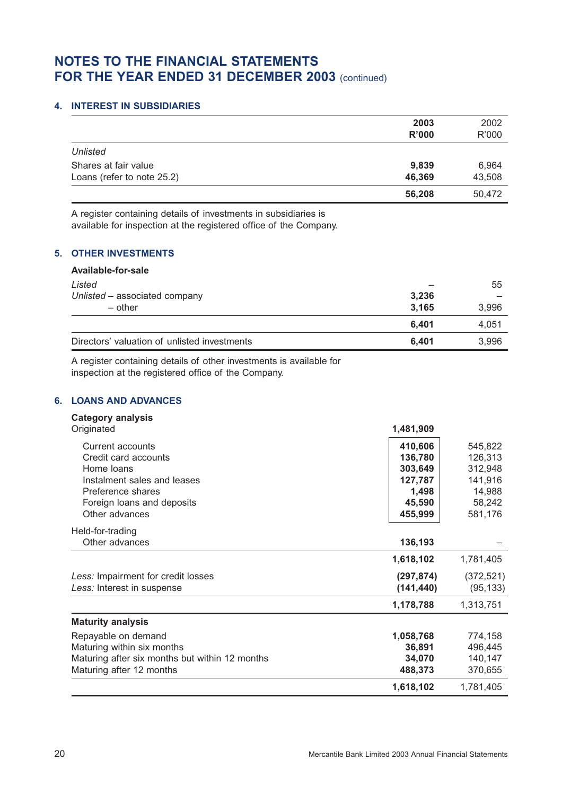## **4. INTEREST IN SUBSIDIARIES**

|                            | 2003<br>R'000 | 2002<br>R'000 |
|----------------------------|---------------|---------------|
| <b>Unlisted</b>            |               |               |
| Shares at fair value       | 9,839         | 6,964         |
| Loans (refer to note 25.2) | 46,369        | 43,508        |
|                            | 56,208        | 50,472        |

A register containing details of investments in subsidiaries is available for inspection at the registered office of the Company.

## **5. OTHER INVESTMENTS**

| Available-for-sale                           |       |       |
|----------------------------------------------|-------|-------|
| Listed                                       |       | 55    |
| Unlisted - associated company                | 3,236 |       |
| $-$ other                                    | 3,165 | 3,996 |
|                                              | 6,401 | 4,051 |
| Directors' valuation of unlisted investments | 6,401 | 3,996 |

A register containing details of other investments is available for inspection at the registered office of the Company.

## **6. LOANS AND ADVANCES**

| <b>Category analysis</b> |  |
|--------------------------|--|
| Q                        |  |

| Originated                                                                                                                                                 | 1,481,909                                                              |                                                                         |
|------------------------------------------------------------------------------------------------------------------------------------------------------------|------------------------------------------------------------------------|-------------------------------------------------------------------------|
| Current accounts<br>Credit card accounts<br>Home loans<br>Instalment sales and leases<br>Preference shares<br>Foreign loans and deposits<br>Other advances | 410,606<br>136,780<br>303,649<br>127,787<br>1,498<br>45,590<br>455,999 | 545,822<br>126,313<br>312,948<br>141,916<br>14,988<br>58,242<br>581,176 |
| Held-for-trading<br>Other advances                                                                                                                         | 136,193                                                                |                                                                         |
|                                                                                                                                                            | 1,618,102                                                              | 1,781,405                                                               |
| Less: Impairment for credit losses<br>Less: Interest in suspense                                                                                           | (297, 874)<br>(141, 440)                                               | (372, 521)<br>(95, 133)                                                 |
|                                                                                                                                                            | 1,178,788                                                              | 1,313,751                                                               |
| <b>Maturity analysis</b>                                                                                                                                   |                                                                        |                                                                         |
| Repayable on demand<br>Maturing within six months<br>Maturing after six months but within 12 months<br>Maturing after 12 months                            | 1,058,768<br>36,891<br>34,070<br>488,373                               | 774,158<br>496,445<br>140,147<br>370,655                                |
|                                                                                                                                                            | 1,618,102                                                              | 1,781,405                                                               |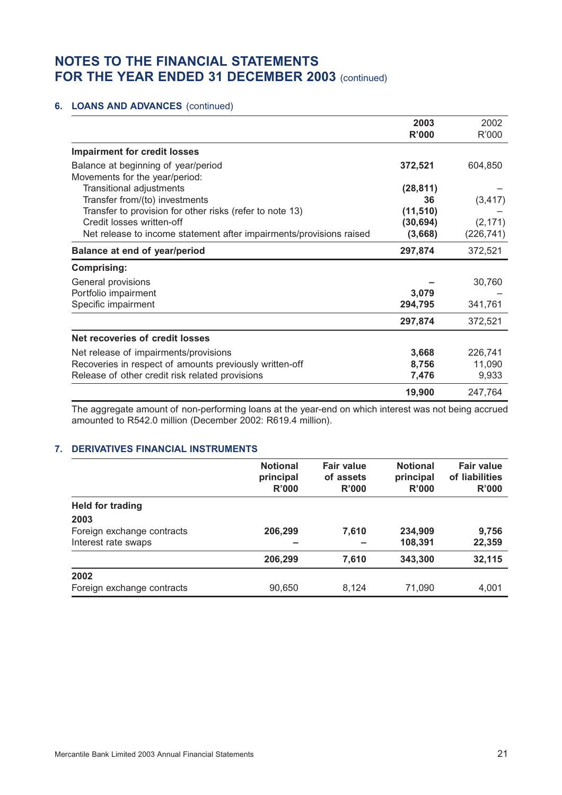## **6. LOANS AND ADVANCES** (continued)

|                                                                     | 2003      | 2002       |
|---------------------------------------------------------------------|-----------|------------|
|                                                                     | R'000     | R'000      |
| <b>Impairment for credit losses</b>                                 |           |            |
| Balance at beginning of year/period                                 | 372,521   | 604,850    |
| Movements for the year/period:                                      |           |            |
| Transitional adjustments                                            | (28, 811) |            |
| Transfer from/(to) investments                                      | 36        | (3, 417)   |
| Transfer to provision for other risks (refer to note 13)            | (11, 510) |            |
| Credit losses written-off                                           | (30, 694) | (2, 171)   |
| Net release to income statement after impairments/provisions raised | (3,668)   | (226, 741) |
| <b>Balance at end of year/period</b>                                | 297,874   | 372,521    |
| <b>Comprising:</b>                                                  |           |            |
| General provisions                                                  |           | 30,760     |
| Portfolio impairment                                                | 3,079     |            |
| Specific impairment                                                 | 294,795   | 341,761    |
|                                                                     | 297,874   | 372,521    |
| Net recoveries of credit losses                                     |           |            |
| Net release of impairments/provisions                               | 3,668     | 226,741    |
| Recoveries in respect of amounts previously written-off             | 8,756     | 11,090     |
| Release of other credit risk related provisions                     | 7,476     | 9,933      |
|                                                                     | 19,900    | 247,764    |

The aggregate amount of non-performing loans at the year-end on which interest was not being accrued amounted to R542.0 million (December 2002: R619.4 million).

### **7. DERIVATIVES FINANCIAL INSTRUMENTS**

|                            | <b>Notional</b><br>principal<br><b>R'000</b> | <b>Fair value</b><br>of assets<br>R'000 | <b>Notional</b><br>principal<br>R'000 | <b>Fair value</b><br>of liabilities<br>R'000 |
|----------------------------|----------------------------------------------|-----------------------------------------|---------------------------------------|----------------------------------------------|
| <b>Held for trading</b>    |                                              |                                         |                                       |                                              |
| 2003                       |                                              |                                         |                                       |                                              |
| Foreign exchange contracts | 206,299                                      | 7,610                                   | 234,909                               | 9,756                                        |
| Interest rate swaps        |                                              |                                         | 108,391                               | 22,359                                       |
|                            | 206,299                                      | 7,610                                   | 343,300                               | 32,115                                       |
| 2002                       |                                              |                                         |                                       |                                              |
| Foreign exchange contracts | 90,650                                       | 8,124                                   | 71,090                                | 4,001                                        |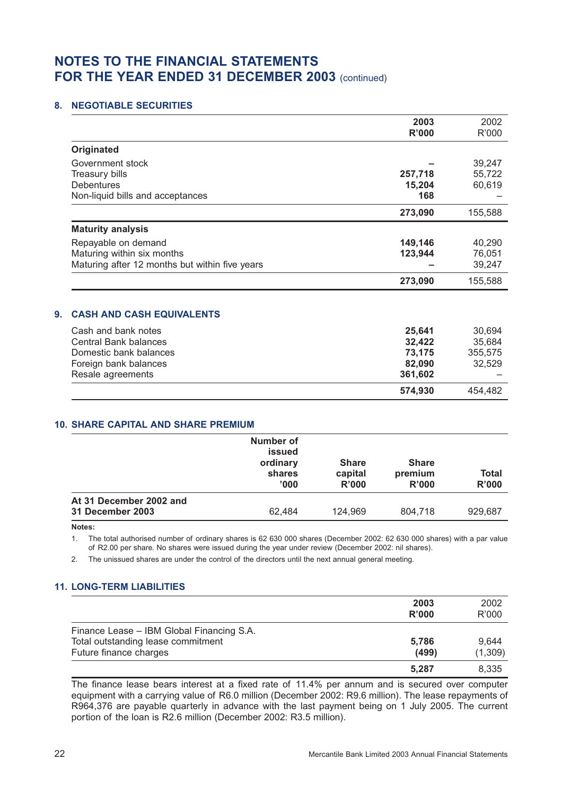### **8. NEGOTIABLE SECURITIES**

|                                                | 2003<br>R'000 | 2002<br>R'000 |
|------------------------------------------------|---------------|---------------|
| <b>Originated</b>                              |               |               |
| Government stock                               |               | 39,247        |
| <b>Treasury bills</b>                          | 257,718       | 55,722        |
| Debentures                                     | 15,204        | 60,619        |
| Non-liquid bills and acceptances               | 168           |               |
|                                                | 273,090       | 155,588       |
| <b>Maturity analysis</b>                       |               |               |
| Repayable on demand                            | 149,146       | 40,290        |
| Maturing within six months                     | 123,944       | 76,051        |
| Maturing after 12 months but within five years |               | 39,247        |
|                                                | 273,090       | 155,588       |
| <b>CASH AND CASH EQUIVALENTS</b>               |               |               |
| Cash and bank notes                            | 25,641        | 30,694        |
| Central Bank balances                          | 32,422        | 35,684        |
| Domestic bank balances                         | 73,175        | 355,575       |
| Foreign bank balances                          | 82,090        | 32,529        |
| Resale agreements                              | 361,602       |               |
|                                                | 574,930       | 454,482       |

### **10. SHARE CAPITAL AND SHARE PREMIUM**

|                         | Number of<br><b>issued</b><br>ordinary<br>shares<br>'000' | <b>Share</b><br>capital<br>R'000 | <b>Share</b><br>premium<br>R'000 | Total<br>R'000 |
|-------------------------|-----------------------------------------------------------|----------------------------------|----------------------------------|----------------|
| At 31 December 2002 and |                                                           |                                  |                                  |                |
| 31 December 2003        | 62,484                                                    | 124,969                          | 804.718                          | 929,687        |
|                         |                                                           |                                  |                                  |                |

**Notes:**

1. The total authorised number of ordinary shares is 62 630 000 shares (December 2002: 62 630 000 shares) with a par value of R2.00 per share. No shares were issued during the year under review (December 2002: nil shares).

2. The unissued shares are under the control of the directors until the next annual general meeting.

## **11. LONG-TERM LIABILITIES**

|                                                                                                           | 2003<br>R'000  | 2002<br>R'000    |
|-----------------------------------------------------------------------------------------------------------|----------------|------------------|
| Finance Lease - IBM Global Financing S.A.<br>Total outstanding lease commitment<br>Future finance charges | 5.786<br>(499) | 9,644<br>(1,309) |
|                                                                                                           | 5,287          | 8.335            |

The finance lease bears interest at a fixed rate of 11.4% per annum and is secured over computer equipment with a carrying value of R6.0 million (December 2002: R9.6 million). The lease repayments of R964,376 are payable quarterly in advance with the last payment being on 1 July 2005. The current portion of the loan is R2.6 million (December 2002: R3.5 million).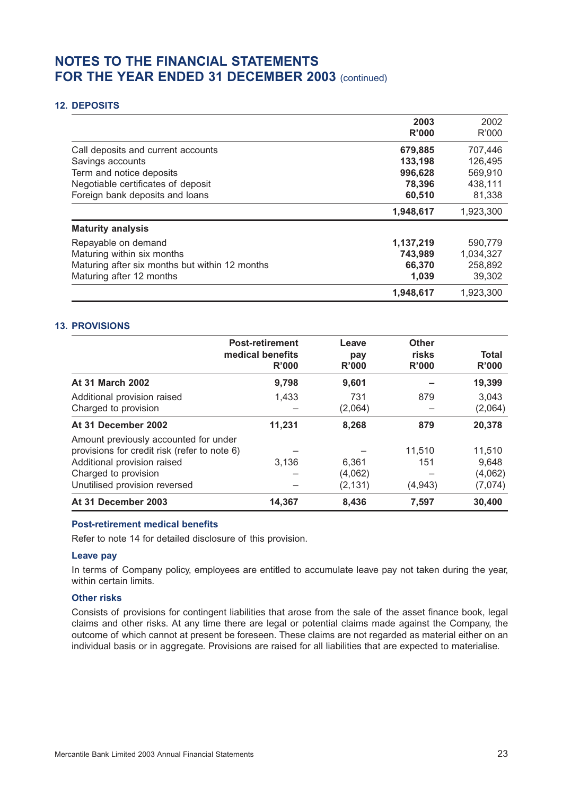### **12. DEPOSITS**

|                                                | 2003<br>R'000 | 2002<br>R'000 |
|------------------------------------------------|---------------|---------------|
| Call deposits and current accounts             | 679,885       | 707,446       |
| Savings accounts                               | 133,198       | 126.495       |
| Term and notice deposits                       | 996,628       | 569,910       |
| Negotiable certificates of deposit             | 78,396        | 438,111       |
| Foreign bank deposits and loans                | 60,510        | 81,338        |
|                                                | 1,948,617     | 1,923,300     |
| <b>Maturity analysis</b>                       |               |               |
| Repayable on demand                            | 1,137,219     | 590,779       |
| Maturing within six months                     | 743,989       | 1,034,327     |
| Maturing after six months but within 12 months | 66,370        | 258,892       |
| Maturing after 12 months                       | 1,039         | 39,302        |
|                                                | 1,948,617     | 1,923,300     |

### **13. PROVISIONS**

|                                                                                                                                                                               | <b>Post-retirement</b><br>medical benefits<br>R'000 | Leave<br>pay<br>R'000        | <b>Other</b><br>risks<br>R'000 | Total<br>R'000                        |
|-------------------------------------------------------------------------------------------------------------------------------------------------------------------------------|-----------------------------------------------------|------------------------------|--------------------------------|---------------------------------------|
| <b>At 31 March 2002</b>                                                                                                                                                       | 9.798                                               | 9,601                        |                                | 19,399                                |
| Additional provision raised<br>Charged to provision                                                                                                                           | 1,433                                               | 731<br>(2,064)               | 879                            | 3.043<br>(2,064)                      |
| At 31 December 2002                                                                                                                                                           | 11,231                                              | 8,268                        | 879                            | 20,378                                |
| Amount previously accounted for under<br>provisions for credit risk (refer to note 6)<br>Additional provision raised<br>Charged to provision<br>Unutilised provision reversed | 3.136                                               | 6.361<br>(4,062)<br>(2, 131) | 11,510<br>151<br>(4, 943)      | 11,510<br>9,648<br>(4,062)<br>(7,074) |
| At 31 December 2003                                                                                                                                                           | 14,367                                              | 8,436                        | 7,597                          | 30,400                                |

#### **Post-retirement medical benefits**

Refer to note 14 for detailed disclosure of this provision.

#### **Leave pay**

In terms of Company policy, employees are entitled to accumulate leave pay not taken during the year, within certain limits.

### **Other risks**

Consists of provisions for contingent liabilities that arose from the sale of the asset finance book, legal claims and other risks. At any time there are legal or potential claims made against the Company, the outcome of which cannot at present be foreseen. These claims are not regarded as material either on an individual basis or in aggregate. Provisions are raised for all liabilities that are expected to materialise.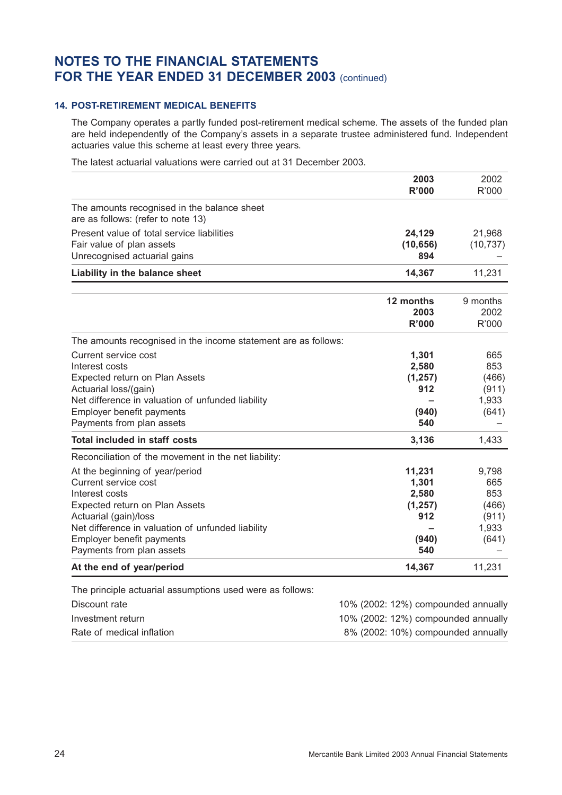## **14. POST-RETIREMENT MEDICAL BENEFITS**

The Company operates a partly funded post-retirement medical scheme. The assets of the funded plan are held independently of the Company's assets in a separate trustee administered fund. Independent actuaries value this scheme at least every three years.

The latest actuarial valuations were carried out at 31 December 2003.

|                                                                                                                                                                                                                                                                                                                                          | 2003<br><b>R'000</b>                                                                                             | 2002<br>R'000                                                     |
|------------------------------------------------------------------------------------------------------------------------------------------------------------------------------------------------------------------------------------------------------------------------------------------------------------------------------------------|------------------------------------------------------------------------------------------------------------------|-------------------------------------------------------------------|
| The amounts recognised in the balance sheet<br>are as follows: (refer to note 13)                                                                                                                                                                                                                                                        |                                                                                                                  |                                                                   |
| Present value of total service liabilities<br>Fair value of plan assets<br>Unrecognised actuarial gains                                                                                                                                                                                                                                  | 24,129<br>(10, 656)<br>894                                                                                       | 21,968<br>(10, 737)                                               |
| Liability in the balance sheet                                                                                                                                                                                                                                                                                                           | 14,367                                                                                                           | 11,231                                                            |
|                                                                                                                                                                                                                                                                                                                                          | 12 months<br>2003<br><b>R'000</b>                                                                                | 9 months<br>2002<br>R'000                                         |
| The amounts recognised in the income statement are as follows:<br>Current service cost<br>Interest costs<br>Expected return on Plan Assets<br>Actuarial loss/(gain)<br>Net difference in valuation of unfunded liability<br>Employer benefit payments<br>Payments from plan assets                                                       | 1,301<br>2,580<br>(1, 257)<br>912<br>(940)<br>540                                                                | 665<br>853<br>(466)<br>(911)<br>1,933<br>(641)                    |
| <b>Total included in staff costs</b>                                                                                                                                                                                                                                                                                                     | 3,136                                                                                                            | 1,433                                                             |
| Reconciliation of the movement in the net liability:<br>At the beginning of year/period<br>Current service cost<br>Interest costs<br>Expected return on Plan Assets<br>Actuarial (gain)/loss<br>Net difference in valuation of unfunded liability<br>Employer benefit payments<br>Payments from plan assets<br>At the end of year/period | 11,231<br>1,301<br>2,580<br>(1, 257)<br>912<br>(940)<br>540<br>14,367                                            | 9,798<br>665<br>853<br>(466)<br>(911)<br>1,933<br>(641)<br>11,231 |
|                                                                                                                                                                                                                                                                                                                                          |                                                                                                                  |                                                                   |
| The principle actuarial assumptions used were as follows:<br>Discount rate<br>Investment return<br>Rate of medical inflation                                                                                                                                                                                                             | 10% (2002: 12%) compounded annually<br>10% (2002: 12%) compounded annually<br>8% (2002: 10%) compounded annually |                                                                   |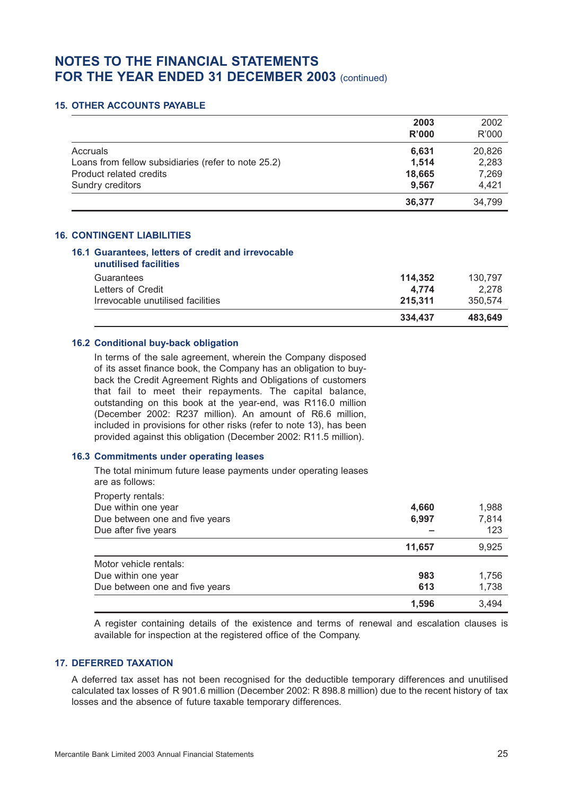### **15. OTHER ACCOUNTS PAYABLE**

|                                                     | 2003<br>R'000 | 2002<br>R'000 |
|-----------------------------------------------------|---------------|---------------|
| Accruals                                            | 6,631         | 20,826        |
| Loans from fellow subsidiaries (refer to note 25.2) | 1,514         | 2,283         |
| Product related credits                             | 18,665        | 7,269         |
| Sundry creditors                                    | 9.567         | 4,421         |
|                                                     | 36,377        | 34,799        |

### **16. CONTINGENT LIABILITIES**

## **16.1 Guarantees, letters of credit and irrevocable**

|                                   | 334.437 | 483.649 |
|-----------------------------------|---------|---------|
| Irrevocable unutilised facilities | 215.311 | 350,574 |
| Letters of Credit                 | 4.774   | 2.278   |
| Guarantees                        | 114.352 | 130.797 |
| unutilised facilities             |         |         |

### **16.2 Conditional buy-back obligation**

In terms of the sale agreement, wherein the Company disposed of its asset finance book, the Company has an obligation to buyback the Credit Agreement Rights and Obligations of customers that fail to meet their repayments. The capital balance, outstanding on this book at the year-end, was R116.0 million (December 2002: R237 million). An amount of R6.6 million, included in provisions for other risks (refer to note 13), has been provided against this obligation (December 2002: R11.5 million).

#### **16.3 Commitments under operating leases**

The total minimum future lease payments under operating leases are as follows:

| Property rentals:              |        |       |
|--------------------------------|--------|-------|
| Due within one year            | 4,660  | 1,988 |
| Due between one and five years | 6,997  | 7,814 |
| Due after five years           |        | 123   |
|                                | 11,657 | 9,925 |
| Motor vehicle rentals:         |        |       |
| Due within one year            | 983    | 1,756 |
| Due between one and five years | 613    | 1,738 |
|                                | 1.596  | 3.494 |

A register containing details of the existence and terms of renewal and escalation clauses is available for inspection at the registered office of the Company.

#### **17. DEFERRED TAXATION**

A deferred tax asset has not been recognised for the deductible temporary differences and unutilised calculated tax losses of R 901.6 million (December 2002: R 898.8 million) due to the recent history of tax losses and the absence of future taxable temporary differences.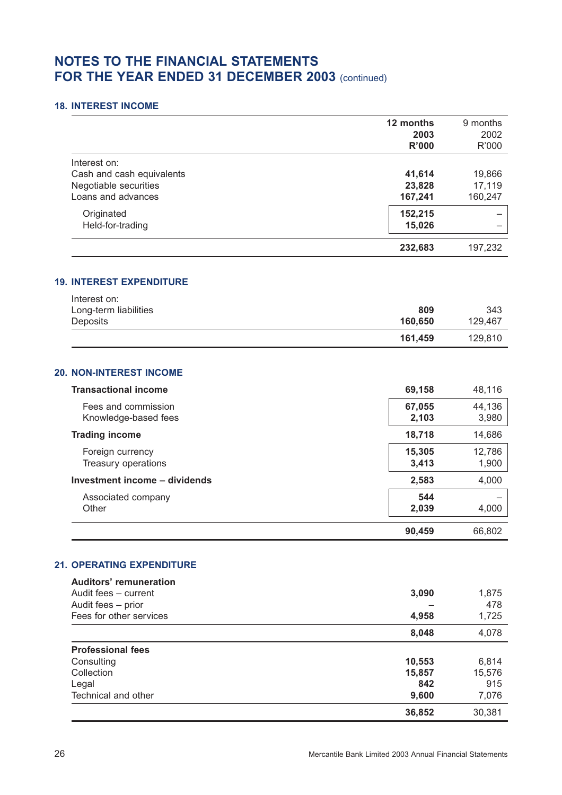### **18. INTEREST INCOME**

|                           | 12 months<br>2003<br><b>R'000</b> | 9 months<br>2002<br>R'000 |
|---------------------------|-----------------------------------|---------------------------|
| Interest on:              |                                   |                           |
| Cash and cash equivalents | 41,614                            | 19,866                    |
| Negotiable securities     | 23,828                            | 17,119                    |
| Loans and advances        | 167,241                           | 160,247                   |
| Originated                | 152,215                           |                           |
| Held-for-trading          | 15,026                            |                           |
|                           | 232,683                           | 197,232                   |

### **19. INTEREST EXPENDITURE**

| Interest on:          |         |         |
|-----------------------|---------|---------|
| Long-term liabilities | 809     | 343     |
| Deposits              | 160.650 | 129.467 |
|                       | 161.459 | 129,810 |

## **20. NON-INTEREST INCOME**

| <b>Transactional income</b>                 | 69,158          | 48,116          |
|---------------------------------------------|-----------------|-----------------|
| Fees and commission<br>Knowledge-based fees | 67,055<br>2,103 | 44,136<br>3,980 |
| <b>Trading income</b>                       | 18,718          | 14,686          |
| Foreign currency<br>Treasury operations     | 15,305<br>3,413 | 12,786<br>1,900 |
| Investment income - dividends               | 2,583           | 4,000           |
| Associated company<br>Other                 | 544<br>2,039    | 4,000           |
|                                             | 90.459          | 66.802          |

## **21. OPERATING EXPENDITURE**

| <b>Auditors' remuneration</b> |        |        |
|-------------------------------|--------|--------|
| Audit fees - current          | 3,090  | 1,875  |
| Audit fees - prior            |        | 478    |
| Fees for other services       | 4,958  | 1,725  |
|                               | 8,048  | 4,078  |
| <b>Professional fees</b>      |        |        |
| Consulting                    | 10,553 | 6,814  |
| Collection                    | 15,857 | 15,576 |
| Legal                         | 842    | 915    |
| Technical and other           | 9,600  | 7,076  |
|                               | 36,852 | 30.381 |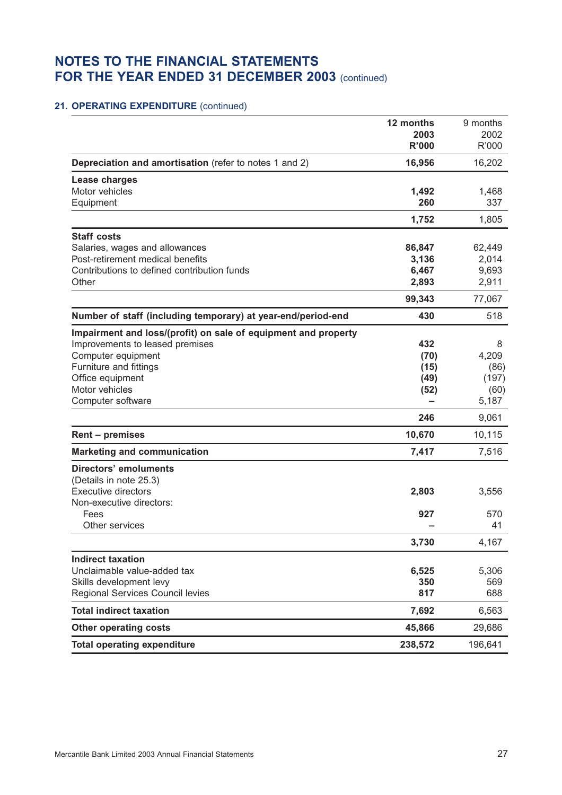## **21. OPERATING EXPENDITURE** (continued)

|                                                                | 12 months            | 9 months      |
|----------------------------------------------------------------|----------------------|---------------|
|                                                                | 2003<br><b>R'000</b> | 2002<br>R'000 |
|                                                                |                      |               |
| Depreciation and amortisation (refer to notes 1 and 2)         | 16,956               | 16,202        |
| Lease charges<br>Motor vehicles                                | 1,492                |               |
| Equipment                                                      | 260                  | 1,468<br>337  |
|                                                                | 1,752                | 1,805         |
| <b>Staff costs</b>                                             |                      |               |
| Salaries, wages and allowances                                 | 86,847               | 62,449        |
| Post-retirement medical benefits                               | 3,136                | 2,014         |
| Contributions to defined contribution funds                    | 6,467                | 9,693         |
| Other                                                          | 2,893                | 2,911         |
|                                                                | 99,343               | 77,067        |
| Number of staff (including temporary) at year-end/period-end   | 430                  | 518           |
| Impairment and loss/(profit) on sale of equipment and property |                      |               |
| Improvements to leased premises                                | 432                  | 8             |
| Computer equipment                                             | (70)                 | 4,209         |
| Furniture and fittings                                         | (15)                 | (86)          |
| Office equipment                                               | (49)                 | (197)         |
| Motor vehicles                                                 | (52)                 | (60)          |
| Computer software                                              |                      | 5,187         |
|                                                                | 246                  | 9,061         |
| Rent - premises                                                | 10,670               | 10,115        |
| <b>Marketing and communication</b>                             | 7,417                | 7,516         |
| <b>Directors' emoluments</b>                                   |                      |               |
| (Details in note 25.3)                                         |                      |               |
| <b>Executive directors</b>                                     | 2,803                | 3,556         |
| Non-executive directors:<br>Fees                               | 927                  | 570           |
| Other services                                                 |                      | 41            |
|                                                                | 3,730                | 4,167         |
| <b>Indirect taxation</b>                                       |                      |               |
| Unclaimable value-added tax                                    | 6,525                | 5,306         |
| Skills development levy                                        | 350                  | 569           |
| Regional Services Council levies                               | 817                  | 688           |
| <b>Total indirect taxation</b>                                 | 7,692                | 6,563         |
| <b>Other operating costs</b>                                   | 45,866               | 29,686        |
| <b>Total operating expenditure</b>                             | 238,572              | 196,641       |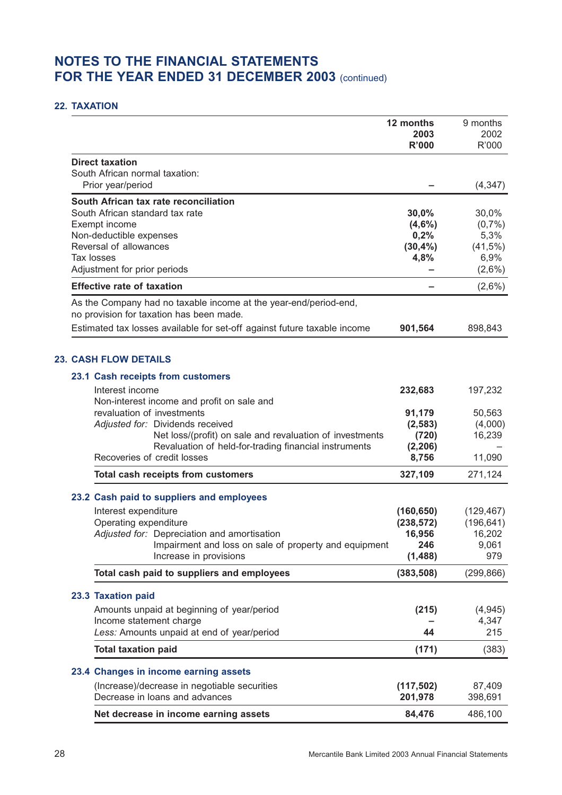### **22. TAXATION**

|                                                                                                              | 12 months<br>2003<br><b>R'000</b> | 9 months<br>2002<br>R'000 |
|--------------------------------------------------------------------------------------------------------------|-----------------------------------|---------------------------|
| <b>Direct taxation</b><br>South African normal taxation:<br>Prior year/period                                |                                   | (4, 347)                  |
|                                                                                                              |                                   |                           |
| South African tax rate reconciliation<br>South African standard tax rate                                     | 30,0%                             | 30,0%                     |
| Exempt income                                                                                                | (4,6%)                            | (0,7%                     |
| Non-deductible expenses                                                                                      | 0,2%                              | 5,3%                      |
| Reversal of allowances                                                                                       | $(30, 4\%)$                       | (41,5%)                   |
| Tax losses                                                                                                   | 4,8%                              | 6,9%                      |
| Adjustment for prior periods                                                                                 |                                   | $(2,6\%)$                 |
| <b>Effective rate of taxation</b>                                                                            |                                   | $(2,6\%)$                 |
| As the Company had no taxable income at the year-end/period-end,<br>no provision for taxation has been made. |                                   |                           |
| Estimated tax losses available for set-off against future taxable income                                     | 901,564                           | 898,843                   |
| <b>23. CASH FLOW DETAILS</b>                                                                                 |                                   |                           |
| 23.1 Cash receipts from customers                                                                            |                                   |                           |
| Interest income                                                                                              | 232,683                           | 197,232                   |
| Non-interest income and profit on sale and                                                                   |                                   |                           |
| revaluation of investments                                                                                   | 91,179                            | 50,563                    |
| Adjusted for: Dividends received                                                                             | (2, 583)                          | (4,000)                   |
| Net loss/(profit) on sale and revaluation of investments                                                     | (720)                             | 16,239                    |
| Revaluation of held-for-trading financial instruments<br>Recoveries of credit losses                         | (2, 206)<br>8,756                 | 11,090                    |
| Total cash receipts from customers                                                                           | 327,109                           | 271,124                   |
|                                                                                                              |                                   |                           |
| 23.2 Cash paid to suppliers and employees                                                                    |                                   |                           |
| Interest expenditure                                                                                         | (160, 650)                        | (129, 467)                |
| Operating expenditure<br>Adjusted for: Depreciation and amortisation                                         | (238, 572)<br>16,956              | (196, 641)<br>16,202      |
| Impairment and loss on sale of property and equipment                                                        | 246                               | 9,061                     |
| Increase in provisions                                                                                       | (1, 488)                          | 979                       |
| Total cash paid to suppliers and employees                                                                   | (383, 508)                        | (299, 866)                |
| 23.3 Taxation paid                                                                                           |                                   |                           |
| Amounts unpaid at beginning of year/period                                                                   | (215)                             | (4, 945)                  |
| Income statement charge                                                                                      |                                   | 4,347                     |
| Less: Amounts unpaid at end of year/period                                                                   | 44                                | 215                       |
| <b>Total taxation paid</b>                                                                                   | (171)                             | (383)                     |
| 23.4 Changes in income earning assets                                                                        |                                   |                           |
| (Increase)/decrease in negotiable securities                                                                 | (117, 502)                        | 87,409                    |
| Decrease in loans and advances                                                                               | 201,978                           | 398,691                   |
| Net decrease in income earning assets                                                                        | 84,476                            | 486,100                   |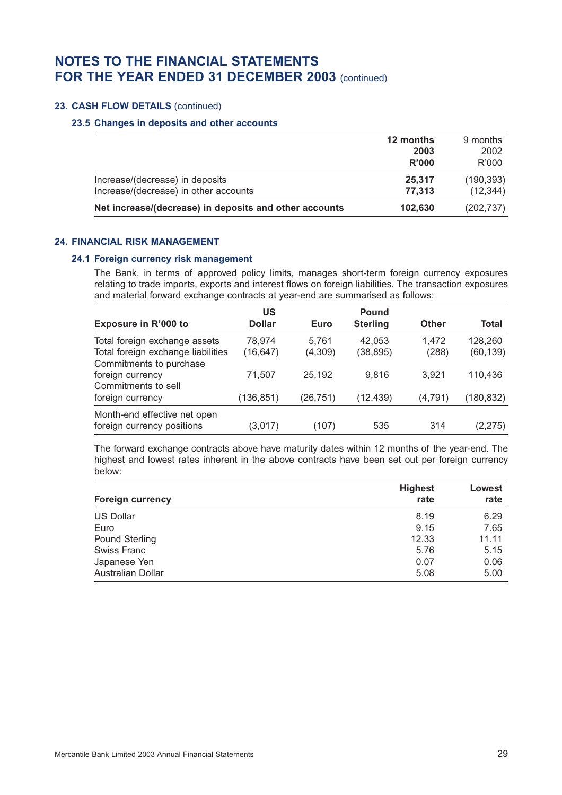## **23. CASH FLOW DETAILS** (continued)

#### **23.5 Changes in deposits and other accounts**

|                                                        | 12 months | 9 months   |
|--------------------------------------------------------|-----------|------------|
|                                                        | 2003      | 2002       |
|                                                        | R'000     | R'000      |
| Increase/(decrease) in deposits                        | 25,317    | (190, 393) |
| Increase/(decrease) in other accounts                  | 77.313    | (12, 344)  |
| Net increase/(decrease) in deposits and other accounts | 102.630   | (202, 737) |

#### **24. FINANCIAL RISK MANAGEMENT**

#### **24.1 Foreign currency risk management**

The Bank, in terms of approved policy limits, manages short-term foreign currency exposures relating to trade imports, exports and interest flows on foreign liabilities. The transaction exposures and material forward exchange contracts at year-end are summarised as follows:

|                                    | US            |          | <b>Pound</b>    |              |            |
|------------------------------------|---------------|----------|-----------------|--------------|------------|
| Exposure in R'000 to               | <b>Dollar</b> | Euro     | <b>Sterling</b> | <b>Other</b> | Total      |
| Total foreign exchange assets      | 78,974        | 5.761    | 42,053          | 1.472        | 128,260    |
| Total foreign exchange liabilities | (16, 647)     | (4,309)  | (38, 895)       | (288)        | (60, 139)  |
| Commitments to purchase            |               |          |                 |              |            |
| foreign currency                   | 71,507        | 25,192   | 9.816           | 3.921        | 110,436    |
| Commitments to sell                |               |          |                 |              |            |
| foreign currency                   | (136,851)     | (26,751) | (12,439)        | (4,791)      | (180, 832) |
| Month-end effective net open       |               |          |                 |              |            |
| foreign currency positions         | (3,017)       | (107)    | 535             | 314          | (2, 275)   |

The forward exchange contracts above have maturity dates within 12 months of the year-end. The highest and lowest rates inherent in the above contracts have been set out per foreign currency below:

| <b>Foreign currency</b>  | <b>Highest</b><br>rate | Lowest<br>rate |
|--------------------------|------------------------|----------------|
| <b>US Dollar</b>         | 8.19                   | 6.29           |
| Euro                     | 9.15                   | 7.65           |
| Pound Sterling           | 12.33                  | 11.11          |
| <b>Swiss Franc</b>       | 5.76                   | 5.15           |
| Japanese Yen             | 0.07                   | 0.06           |
| <b>Australian Dollar</b> | 5.08                   | 5.00           |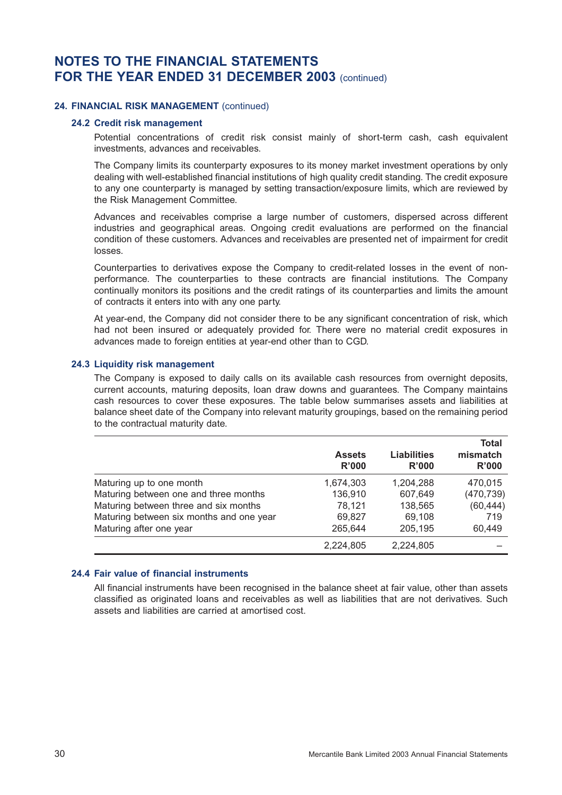### **24. FINANCIAL RISK MANAGEMENT** (continued)

#### **24.2 Credit risk management**

Potential concentrations of credit risk consist mainly of short-term cash, cash equivalent investments, advances and receivables.

The Company limits its counterparty exposures to its money market investment operations by only dealing with well-established financial institutions of high quality credit standing. The credit exposure to any one counterparty is managed by setting transaction/exposure limits, which are reviewed by the Risk Management Committee.

Advances and receivables comprise a large number of customers, dispersed across different industries and geographical areas. Ongoing credit evaluations are performed on the financial condition of these customers. Advances and receivables are presented net of impairment for credit losses.

Counterparties to derivatives expose the Company to credit-related losses in the event of nonperformance. The counterparties to these contracts are financial institutions. The Company continually monitors its positions and the credit ratings of its counterparties and limits the amount of contracts it enters into with any one party.

At year-end, the Company did not consider there to be any significant concentration of risk, which had not been insured or adequately provided for. There were no material credit exposures in advances made to foreign entities at year-end other than to CGD.

#### **24.3 Liquidity risk management**

The Company is exposed to daily calls on its available cash resources from overnight deposits, current accounts, maturing deposits, loan draw downs and guarantees. The Company maintains cash resources to cover these exposures. The table below summarises assets and liabilities at balance sheet date of the Company into relevant maturity groupings, based on the remaining period to the contractual maturity date.

|                                          | <b>Assets</b><br>R'000 | <b>Liabilities</b><br>R'000 | Total<br>mismatch<br>R'000 |
|------------------------------------------|------------------------|-----------------------------|----------------------------|
| Maturing up to one month                 | 1,674,303              | 1,204,288                   | 470,015                    |
| Maturing between one and three months    | 136,910                | 607,649                     | (470, 739)                 |
| Maturing between three and six months    | 78,121                 | 138,565                     | (60, 444)                  |
| Maturing between six months and one year | 69,827                 | 69,108                      | 719                        |
| Maturing after one year                  | 265,644                | 205,195                     | 60,449                     |
|                                          | 2,224,805              | 2,224,805                   |                            |

## **24.4 Fair value of financial instruments**

All financial instruments have been recognised in the balance sheet at fair value, other than assets classified as originated loans and receivables as well as liabilities that are not derivatives. Such assets and liabilities are carried at amortised cost.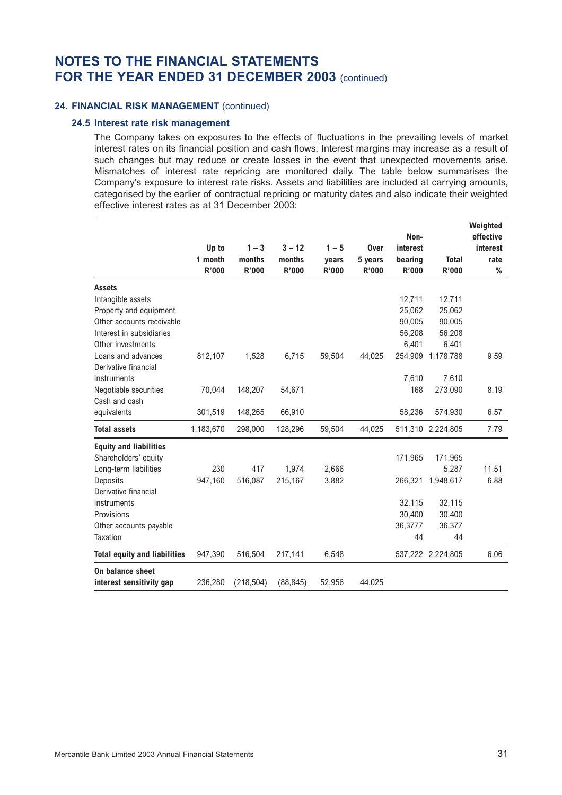### **24. FINANCIAL RISK MANAGEMENT** (continued)

#### **24.5 Interest rate risk management**

The Company takes on exposures to the effects of fluctuations in the prevailing levels of market interest rates on its financial position and cash flows. Interest margins may increase as a result of such changes but may reduce or create losses in the event that unexpected movements arise. Mismatches of interest rate repricing are monitored daily. The table below summarises the Company's exposure to interest rate risks. Assets and liabilities are included at carrying amounts, categorised by the earlier of contractual repricing or maturity dates and also indicate their weighted effective interest rates as at 31 December 2003:

|                                     |           |              |           |         |              | Non-     |                   | Weighted<br>effective |
|-------------------------------------|-----------|--------------|-----------|---------|--------------|----------|-------------------|-----------------------|
|                                     | Up to     | $1 - 3$      | $3 - 12$  | $1 - 5$ | Over         | interest |                   | interest              |
|                                     | 1 month   | months       | months    | vears   | 5 years      | bearing  | <b>Total</b>      | rate                  |
|                                     | R'000     | <b>R'000</b> | R'000     | R'000   | <b>R'000</b> | R'000    | R'000             | %                     |
| <b>Assets</b>                       |           |              |           |         |              |          |                   |                       |
| Intangible assets                   |           |              |           |         |              | 12,711   | 12,711            |                       |
| Property and equipment              |           |              |           |         |              | 25,062   | 25,062            |                       |
| Other accounts receivable           |           |              |           |         |              | 90,005   | 90,005            |                       |
| Interest in subsidiaries            |           |              |           |         |              | 56.208   | 56,208            |                       |
| Other investments                   |           |              |           |         |              | 6,401    | 6,401             |                       |
| Loans and advances                  | 812,107   | 1,528        | 6,715     | 59,504  | 44,025       | 254,909  | 1,178,788         | 9.59                  |
| Derivative financial                |           |              |           |         |              |          |                   |                       |
| instruments                         |           |              |           |         |              | 7,610    | 7,610             |                       |
| Negotiable securities               | 70,044    | 148,207      | 54,671    |         |              | 168      | 273,090           | 8.19                  |
| Cash and cash                       |           |              |           |         |              |          |                   |                       |
| equivalents                         | 301,519   | 148,265      | 66,910    |         |              | 58,236   | 574,930           | 6.57                  |
| <b>Total assets</b>                 | 1,183,670 | 298,000      | 128,296   | 59,504  | 44,025       |          | 511,310 2,224,805 | 7.79                  |
| <b>Equity and liabilities</b>       |           |              |           |         |              |          |                   |                       |
| Shareholders' equity                |           |              |           |         |              | 171,965  | 171,965           |                       |
| Long-term liabilities               | 230       | 417          | 1,974     | 2,666   |              |          | 5,287             | 11.51                 |
| Deposits                            | 947,160   | 516,087      | 215,167   | 3,882   |              | 266,321  | 1,948,617         | 6.88                  |
| Derivative financial                |           |              |           |         |              |          |                   |                       |
| instruments                         |           |              |           |         |              | 32,115   | 32,115            |                       |
| Provisions                          |           |              |           |         |              | 30,400   | 30,400            |                       |
| Other accounts payable              |           |              |           |         |              | 36,3777  | 36,377            |                       |
| Taxation                            |           |              |           |         |              | 44       | 44                |                       |
| <b>Total equity and liabilities</b> | 947,390   | 516,504      | 217,141   | 6,548   |              |          | 537,222 2,224,805 | 6.06                  |
| On balance sheet                    |           |              |           |         |              |          |                   |                       |
| interest sensitivity gap            | 236,280   | (218, 504)   | (88, 845) | 52,956  | 44,025       |          |                   |                       |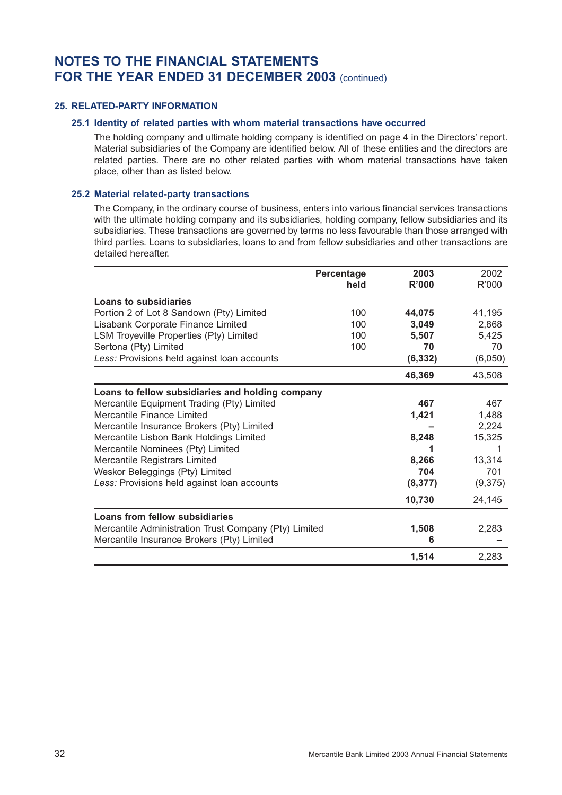### **25. RELATED-PARTY INFORMATION**

### **25.1 Identity of related parties with whom material transactions have occurred**

The holding company and ultimate holding company is identified on page 4 in the Directors' report. Material subsidiaries of the Company are identified below. All of these entities and the directors are related parties. There are no other related parties with whom material transactions have taken place, other than as listed below.

## **25.2 Material related-party transactions**

The Company, in the ordinary course of business, enters into various financial services transactions with the ultimate holding company and its subsidiaries, holding company, fellow subsidiaries and its subsidiaries. These transactions are governed by terms no less favourable than those arranged with third parties. Loans to subsidiaries, loans to and from fellow subsidiaries and other transactions are detailed hereafter.

|                                                       | Percentage<br>held | 2003<br>R'000 | 2002<br>R'000 |
|-------------------------------------------------------|--------------------|---------------|---------------|
| Loans to subsidiaries                                 |                    |               |               |
| Portion 2 of Lot 8 Sandown (Pty) Limited              | 100                | 44,075        | 41,195        |
| Lisabank Corporate Finance Limited                    | 100                | 3,049         | 2,868         |
| LSM Troyeville Properties (Pty) Limited               | 100                | 5,507         | 5,425         |
| Sertona (Pty) Limited                                 | 100                | 70            | 70            |
| Less: Provisions held against loan accounts           |                    | (6, 332)      | (6,050)       |
|                                                       |                    | 46,369        | 43,508        |
| Loans to fellow subsidiaries and holding company      |                    |               |               |
| Mercantile Equipment Trading (Pty) Limited            |                    | 467           | 467           |
| Mercantile Finance Limited                            |                    | 1,421         | 1,488         |
| Mercantile Insurance Brokers (Pty) Limited            |                    |               | 2,224         |
| Mercantile Lisbon Bank Holdings Limited               |                    | 8,248         | 15,325        |
| Mercantile Nominees (Pty) Limited                     |                    |               | 1             |
| Mercantile Registrars Limited                         |                    | 8,266         | 13,314        |
| Weskor Beleggings (Pty) Limited                       |                    | 704           | 701           |
| Less: Provisions held against loan accounts           |                    | (8, 377)      | (9,375)       |
|                                                       |                    | 10,730        | 24,145        |
| Loans from fellow subsidiaries                        |                    |               |               |
| Mercantile Administration Trust Company (Pty) Limited |                    | 1,508         | 2,283         |
| Mercantile Insurance Brokers (Pty) Limited            |                    | 6             |               |
|                                                       |                    | 1,514         | 2,283         |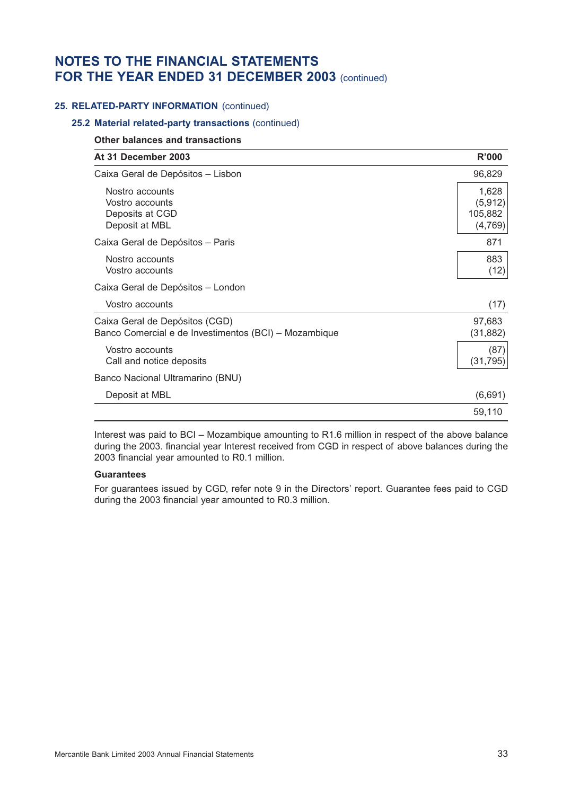### **25. RELATED-PARTY INFORMATION** (continued)

### **25.2 Material related-party transactions** (continued)

#### **Other balances and transactions**

| At 31 December 2003                                                                     | R'000                                   |
|-----------------------------------------------------------------------------------------|-----------------------------------------|
| Caixa Geral de Depósitos - Lisbon                                                       | 96,829                                  |
| Nostro accounts<br>Vostro accounts<br>Deposits at CGD<br>Deposit at MBL                 | 1,628<br>(5, 912)<br>105,882<br>(4,769) |
| Caixa Geral de Depósitos - Paris                                                        | 871                                     |
| Nostro accounts<br>Vostro accounts                                                      | 883<br>(12)                             |
| Caixa Geral de Depósitos - London                                                       |                                         |
| Vostro accounts                                                                         | (17)                                    |
| Caixa Geral de Depósitos (CGD)<br>Banco Comercial e de Investimentos (BCI) - Mozambique | 97,683<br>(31, 882)                     |
| Vostro accounts<br>Call and notice deposits                                             | (87)<br>(31, 795)                       |
| Banco Nacional Ultramarino (BNU)                                                        |                                         |
| Deposit at MBL                                                                          | (6,691)                                 |
|                                                                                         | 59,110                                  |

Interest was paid to BCI – Mozambique amounting to R1.6 million in respect of the above balance during the 2003. financial year Interest received from CGD in respect of above balances during the 2003 financial year amounted to R0.1 million.

#### **Guarantees**

For guarantees issued by CGD, refer note 9 in the Directors' report. Guarantee fees paid to CGD during the 2003 financial year amounted to R0.3 million.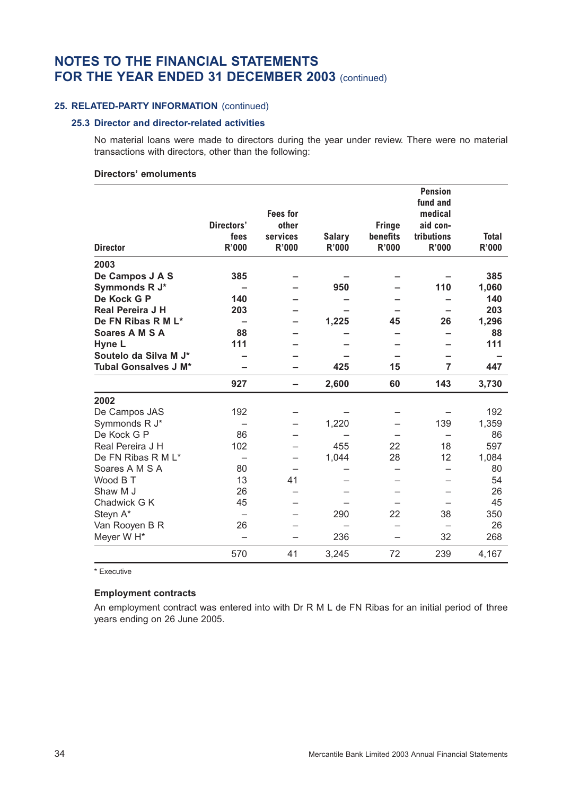### **25. RELATED-PARTY INFORMATION** (continued)

#### **25.3 Director and director-related activities**

No material loans were made to directors during the year under review. There were no material transactions with directors, other than the following:

## **Directors' emoluments**

|                             |                          |                 |               |               | <b>Pension</b><br>fund and |              |
|-----------------------------|--------------------------|-----------------|---------------|---------------|----------------------------|--------------|
|                             |                          | <b>Fees for</b> |               |               | medical                    |              |
|                             | Directors'               | other           |               | <b>Fringe</b> | aid con-                   |              |
|                             | fees                     | services        | <b>Salary</b> | benefits      | tributions                 | <b>Total</b> |
| <b>Director</b>             | R'000                    | <b>R'000</b>    | <b>R'000</b>  | R'000         | R'000                      | R'000        |
| 2003                        |                          |                 |               |               |                            |              |
| De Campos J A S             | 385                      |                 |               |               |                            | 385          |
| Symmonds R J*               |                          |                 | 950           |               | 110                        | 1,060        |
| De Kock G P                 | 140                      |                 |               |               |                            | 140          |
| Real Pereira J H            | 203                      |                 |               |               |                            | 203          |
| De FN Ribas R M L*          |                          |                 | 1,225         | 45            | 26                         | 1,296        |
| Soares A M S A              | 88                       |                 |               |               |                            | 88           |
| Hyne L                      | 111                      |                 |               |               |                            | 111          |
| Soutelo da Silva M J*       |                          |                 |               |               |                            |              |
| <b>Tubal Gonsalves J M*</b> |                          |                 | 425           | 15            | 7                          | 447          |
|                             | 927                      |                 | 2,600         | 60            | 143                        | 3,730        |
|                             |                          |                 |               |               |                            |              |
| 2002                        |                          |                 |               |               |                            |              |
| De Campos JAS               | 192                      |                 |               |               |                            | 192          |
| Symmonds R J*               |                          |                 | 1,220         |               | 139                        | 1,359        |
| De Kock G P                 | 86                       |                 |               |               |                            | 86           |
| Real Pereira J H            | 102                      |                 | 455           | 22            | 18                         | 597          |
| De FN Ribas R M L*          | $\overline{\phantom{0}}$ |                 | 1,044         | 28            | 12                         | 1,084        |
| Soares A M S A              | 80                       |                 |               |               |                            | 80           |
| Wood B T                    | 13                       | 41              |               |               |                            | 54           |
| Shaw M J                    | 26                       |                 |               |               |                            | 26           |
| Chadwick G K                | 45                       |                 |               |               |                            | 45           |
| Steyn A*                    |                          |                 | 290           | 22            | 38                         | 350          |
| Van Rooyen B R              | 26                       |                 |               |               |                            | 26           |
| Meyer W H*                  |                          |                 | 236           |               | 32                         | 268          |

\* Executive

## **Employment contracts**

An employment contract was entered into with Dr R M L de FN Ribas for an initial period of three years ending on 26 June 2005.